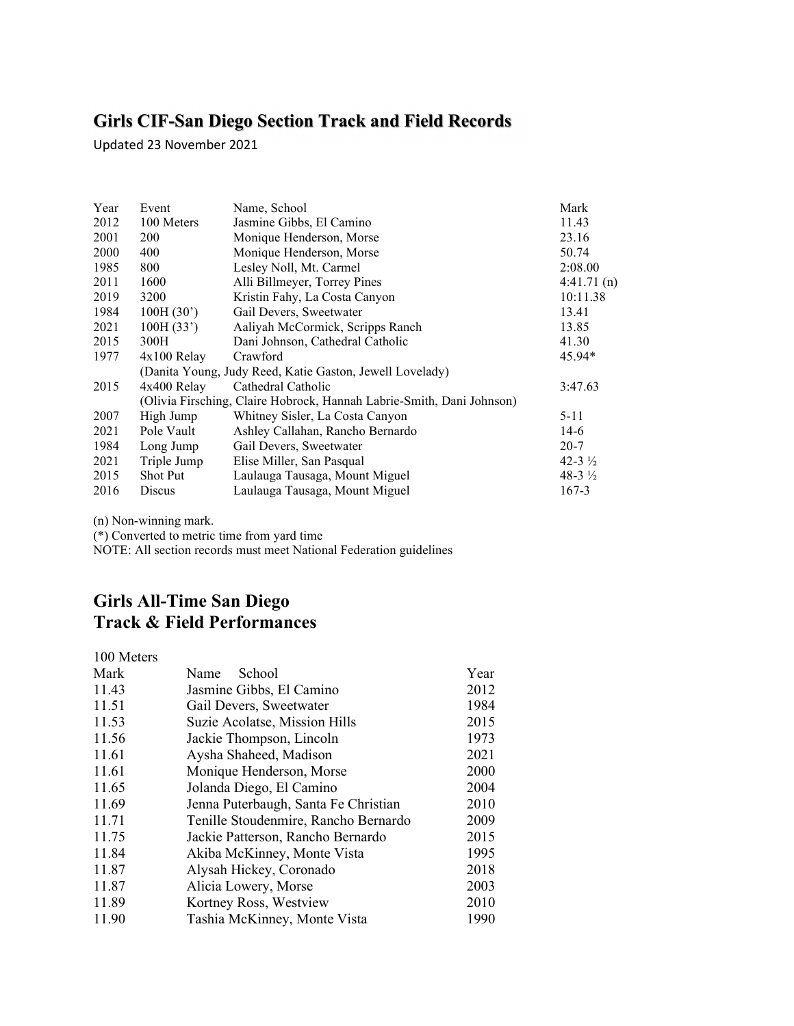# **Girls CIF-San Diego Section Track and Field Records**

Updated 23 November 2021

| Year | Event         | Name, School                                                          | Mark                |
|------|---------------|-----------------------------------------------------------------------|---------------------|
| 2012 | 100 Meters    | Jasmine Gibbs, El Camino                                              | 11.43               |
| 2001 | 200           | Monique Henderson, Morse                                              | 23.16               |
| 2000 | 400           | Monique Henderson, Morse                                              | 50.74               |
| 1985 | 800           | Lesley Noll, Mt. Carmel                                               | 2:08.00             |
| 2011 | 1600          | Alli Billmeyer, Torrey Pines                                          | 4:41.71(n)          |
| 2019 | 3200          | Kristin Fahy, La Costa Canyon                                         | 10:11.38            |
| 1984 | 100H(30')     | Gail Devers, Sweetwater                                               | 13.41               |
| 2021 | 100H(33')     | Aaliyah McCormick, Scripps Ranch                                      | 13.85               |
| 2015 | 300H          | Dani Johnson, Cathedral Catholic                                      | 41.30               |
| 1977 | 4x100 Relay   | Crawford                                                              | 45.94*              |
|      |               | (Danita Young, Judy Reed, Katie Gaston, Jewell Lovelady)              |                     |
| 2015 | $4x400$ Relay | Cathedral Catholic                                                    | 3:47.63             |
|      |               | (Olivia Firsching, Claire Hobrock, Hannah Labrie-Smith, Dani Johnson) |                     |
| 2007 | High Jump     | Whitney Sisler, La Costa Canyon                                       | 5-11                |
| 2021 | Pole Vault    | Ashley Callahan, Rancho Bernardo                                      | $14-6$              |
| 1984 | Long Jump     | Gail Devers, Sweetwater                                               | $20 - 7$            |
| 2021 | Triple Jump   | Elise Miller, San Pasqual                                             | $42 - 3\frac{1}{2}$ |
| 2015 | Shot Put      | Laulauga Tausaga, Mount Miguel                                        | 48-3 $\frac{1}{2}$  |
| 2016 | Discus        | Laulauga Tausaga, Mount Miguel                                        | $167-3$             |

(n) Non-winning mark.

(\*) Converted to metric time from yard time

NOTE: All section records must meet National Federation guidelines

# **Girls All-Time San Diego Track & Field Performances**

### 100 Meters

| Mark  | School<br>Name                       | Year |
|-------|--------------------------------------|------|
| 11.43 | Jasmine Gibbs, El Camino             | 2012 |
| 11.51 | Gail Devers, Sweetwater              | 1984 |
| 11.53 | Suzie Acolatse, Mission Hills        | 2015 |
| 11.56 | Jackie Thompson, Lincoln             | 1973 |
| 11.61 | Aysha Shaheed, Madison               | 2021 |
| 11.61 | Monique Henderson, Morse             | 2000 |
| 11.65 | Jolanda Diego, El Camino             | 2004 |
| 11.69 | Jenna Puterbaugh, Santa Fe Christian | 2010 |
| 11.71 | Tenille Stoudenmire, Rancho Bernardo | 2009 |
| 11.75 | Jackie Patterson, Rancho Bernardo    | 2015 |
| 11.84 | Akiba McKinney, Monte Vista          | 1995 |
| 11.87 | Alysah Hickey, Coronado              | 2018 |
| 11.87 | Alicia Lowery, Morse                 | 2003 |
| 11.89 | Kortney Ross, Westview               | 2010 |
| 11.90 | Tashia McKinney, Monte Vista         | 1990 |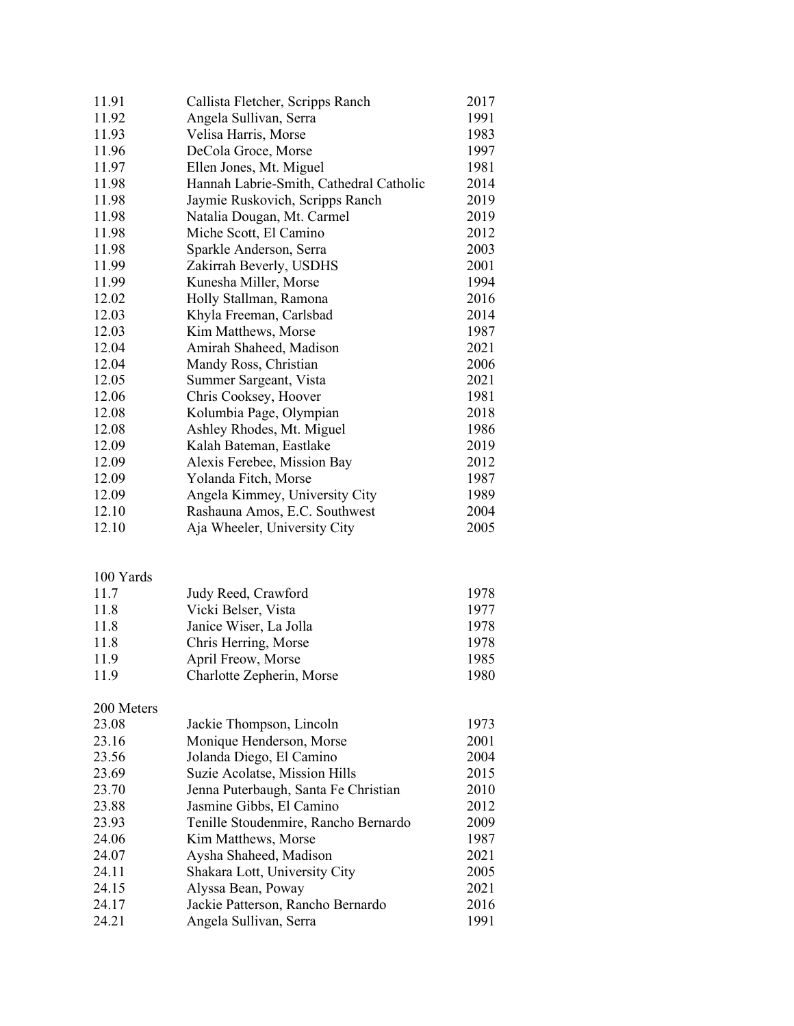| 11.91      | Callista Fletcher, Scripps Ranch        | 2017 |
|------------|-----------------------------------------|------|
| 11.92      | Angela Sullivan, Serra                  | 1991 |
| 11.93      | Velisa Harris, Morse                    | 1983 |
| 11.96      | DeCola Groce, Morse                     | 1997 |
| 11.97      | Ellen Jones, Mt. Miguel                 | 1981 |
| 11.98      | Hannah Labrie-Smith, Cathedral Catholic | 2014 |
| 11.98      | Jaymie Ruskovich, Scripps Ranch         | 2019 |
| 11.98      | Natalia Dougan, Mt. Carmel              | 2019 |
| 11.98      | Miche Scott, El Camino                  | 2012 |
| 11.98      | Sparkle Anderson, Serra                 | 2003 |
| 11.99      | Zakirrah Beverly, USDHS                 | 2001 |
| 11.99      | Kunesha Miller, Morse                   | 1994 |
| 12.02      | Holly Stallman, Ramona                  | 2016 |
| 12.03      | Khyla Freeman, Carlsbad                 | 2014 |
| 12.03      | Kim Matthews, Morse                     | 1987 |
| 12.04      | Amirah Shaheed, Madison                 | 2021 |
| 12.04      | Mandy Ross, Christian                   | 2006 |
| 12.05      | Summer Sargeant, Vista                  | 2021 |
| 12.06      | Chris Cooksey, Hoover                   | 1981 |
| 12.08      | Kolumbia Page, Olympian                 | 2018 |
| 12.08      | Ashley Rhodes, Mt. Miguel               | 1986 |
| 12.09      | Kalah Bateman, Eastlake                 | 2019 |
| 12.09      | Alexis Ferebee, Mission Bay             | 2012 |
| 12.09      | Yolanda Fitch, Morse                    | 1987 |
| 12.09      | Angela Kimmey, University City          | 1989 |
| 12.10      | Rashauna Amos, E.C. Southwest           | 2004 |
| 12.10      | Aja Wheeler, University City            | 2005 |
|            |                                         |      |
| 100 Yards  |                                         |      |
| 11.7       | Judy Reed, Crawford                     | 1978 |
| 11.8       | Vicki Belser, Vista                     | 1977 |
| 11.8       | Janice Wiser, La Jolla                  | 1978 |
| 11.8       | Chris Herring, Morse                    | 1978 |
| 11.9       | April Freow, Morse                      | 1985 |
| 11.9       | Charlotte Zepherin, Morse               | 1980 |
| 200 Meters |                                         |      |
| 23.08      | Jackie Thompson, Lincoln                | 1973 |
| 23.16      | Monique Henderson, Morse                | 2001 |
| 23.56      | Jolanda Diego, El Camino                | 2004 |
| 23.69      | Suzie Acolatse, Mission Hills           | 2015 |
| 23.70      | Jenna Puterbaugh, Santa Fe Christian    | 2010 |
| 23.88      | Jasmine Gibbs, El Camino                | 2012 |
| 23.93      | Tenille Stoudenmire, Rancho Bernardo    | 2009 |
| 24.06      | Kim Matthews, Morse                     | 1987 |
| 24.07      | Aysha Shaheed, Madison                  | 2021 |
| 24.11      | Shakara Lott, University City           | 2005 |
| 24.15      | Alyssa Bean, Poway                      | 2021 |
| 24.17      | Jackie Patterson, Rancho Bernardo       | 2016 |
| 24.21      | Angela Sullivan, Serra                  | 1991 |
|            |                                         |      |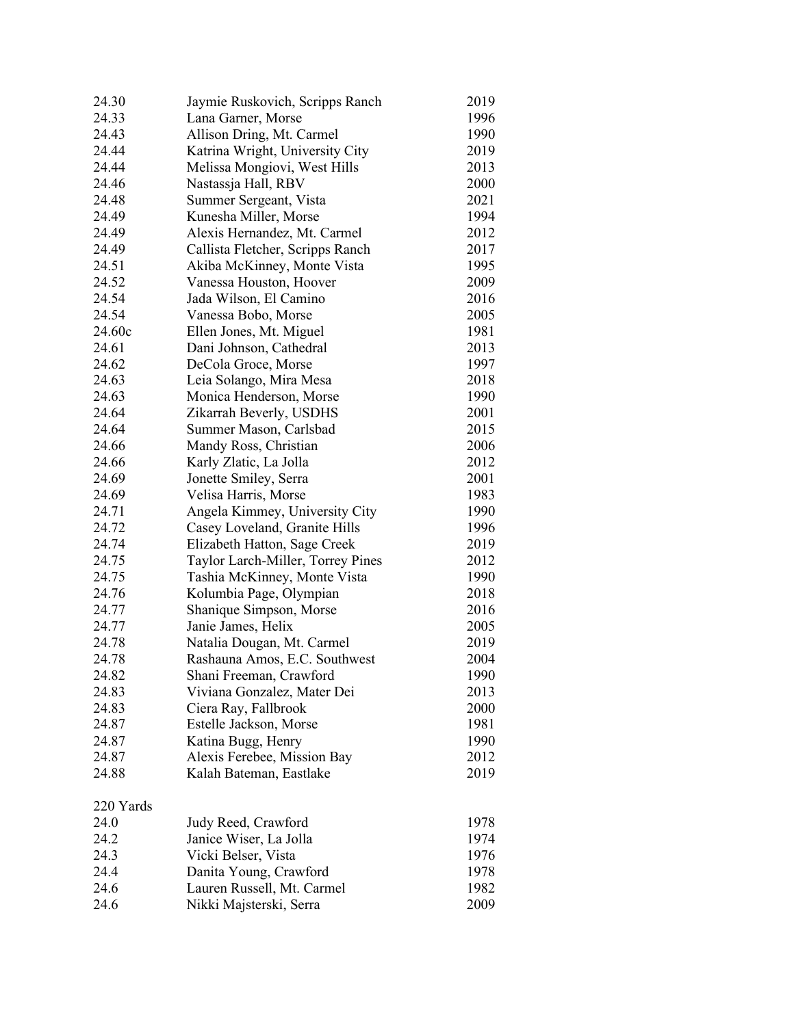| 24.30     | Jaymie Ruskovich, Scripps Ranch   | 2019 |
|-----------|-----------------------------------|------|
| 24.33     | Lana Garner, Morse                | 1996 |
| 24.43     | Allison Dring, Mt. Carmel         | 1990 |
| 24.44     | Katrina Wright, University City   | 2019 |
| 24.44     | Melissa Mongiovi, West Hills      | 2013 |
| 24.46     | Nastassja Hall, RBV               | 2000 |
| 24.48     | Summer Sergeant, Vista            | 2021 |
| 24.49     | Kunesha Miller, Morse             | 1994 |
| 24.49     | Alexis Hernandez, Mt. Carmel      | 2012 |
| 24.49     | Callista Fletcher, Scripps Ranch  | 2017 |
| 24.51     | Akiba McKinney, Monte Vista       | 1995 |
| 24.52     | Vanessa Houston, Hoover           | 2009 |
| 24.54     | Jada Wilson, El Camino            | 2016 |
| 24.54     | Vanessa Bobo, Morse               | 2005 |
| 24.60c    | Ellen Jones, Mt. Miguel           | 1981 |
| 24.61     | Dani Johnson, Cathedral           | 2013 |
| 24.62     | DeCola Groce, Morse               | 1997 |
| 24.63     | Leia Solango, Mira Mesa           | 2018 |
| 24.63     | Monica Henderson, Morse           | 1990 |
| 24.64     | Zikarrah Beverly, USDHS           | 2001 |
| 24.64     | Summer Mason, Carlsbad            | 2015 |
| 24.66     | Mandy Ross, Christian             | 2006 |
| 24.66     | Karly Zlatic, La Jolla            | 2012 |
| 24.69     | Jonette Smiley, Serra             | 2001 |
| 24.69     | Velisa Harris, Morse              | 1983 |
| 24.71     | Angela Kimmey, University City    | 1990 |
| 24.72     | Casey Loveland, Granite Hills     | 1996 |
| 24.74     | Elizabeth Hatton, Sage Creek      | 2019 |
| 24.75     | Taylor Larch-Miller, Torrey Pines | 2012 |
| 24.75     | Tashia McKinney, Monte Vista      | 1990 |
| 24.76     | Kolumbia Page, Olympian           | 2018 |
| 24.77     | Shanique Simpson, Morse           | 2016 |
| 24.77     | Janie James, Helix                | 2005 |
| 24.78     | Natalia Dougan, Mt. Carmel        | 2019 |
| 24.78     | Rashauna Amos, E.C. Southwest     | 2004 |
| 24.82     | Shani Freeman, Crawford           | 1990 |
| 24.83     | Viviana Gonzalez, Mater Dei       | 2013 |
| 24.83     | Ciera Ray, Fallbrook              | 2000 |
| 24.87     | Estelle Jackson, Morse            | 1981 |
| 24.87     | Katina Bugg, Henry                | 1990 |
| 24.87     | Alexis Ferebee, Mission Bay       | 2012 |
| 24.88     | Kalah Bateman, Eastlake           | 2019 |
| 220 Yards |                                   |      |
| 24.0      | Judy Reed, Crawford               | 1978 |
| 24.2      | Janice Wiser, La Jolla            | 1974 |
| 24.3      | Vicki Belser, Vista               | 1976 |
| 24.4      | Danita Young, Crawford            | 1978 |
| 24.6      | Lauren Russell, Mt. Carmel        | 1982 |
| 24.6      | Nikki Majsterski, Serra           | 2009 |
|           |                                   |      |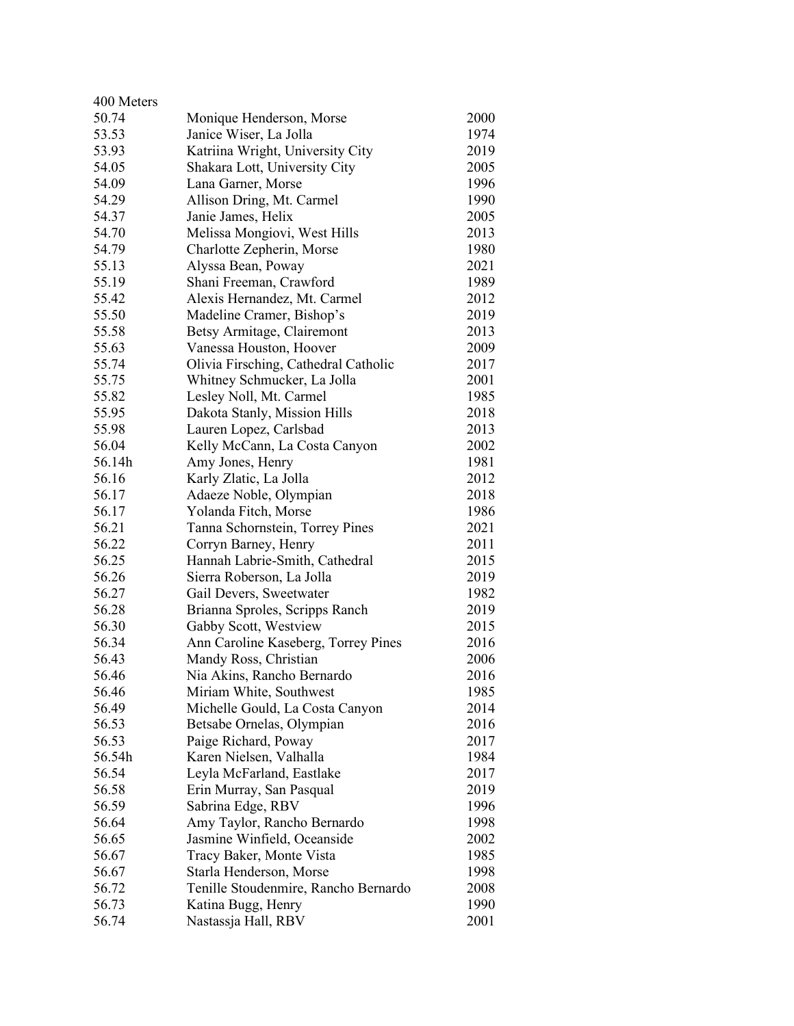| 50.74<br>Monique Henderson, Morse<br>Janice Wiser, La Jolla<br>53.53<br>Katriina Wright, University City<br>53.93<br>54.05<br>Shakara Lott, University City<br>54.09<br>Lana Garner, Morse<br>54.29<br>Allison Dring, Mt. Carmel<br>54.37<br>Janie James, Helix<br>54.70<br>Melissa Mongiovi, West Hills<br>Charlotte Zepherin, Morse<br>54.79<br>Alyssa Bean, Poway<br>55.13<br>Shani Freeman, Crawford<br>55.19<br>Alexis Hernandez, Mt. Carmel<br>55.42<br>55.50<br>Madeline Cramer, Bishop's<br>55.58<br>Betsy Armitage, Clairemont<br>55.63<br>Vanessa Houston, Hoover<br>55.74<br>Olivia Firsching, Cathedral Catholic<br>55.75<br>Whitney Schmucker, La Jolla | 2000<br>1974<br>2019<br>2005<br>1996<br>1990<br>2005<br>2013<br>1980<br>2021<br>1989<br>2012<br>2019 |
|----------------------------------------------------------------------------------------------------------------------------------------------------------------------------------------------------------------------------------------------------------------------------------------------------------------------------------------------------------------------------------------------------------------------------------------------------------------------------------------------------------------------------------------------------------------------------------------------------------------------------------------------------------------------|------------------------------------------------------------------------------------------------------|
|                                                                                                                                                                                                                                                                                                                                                                                                                                                                                                                                                                                                                                                                      |                                                                                                      |
|                                                                                                                                                                                                                                                                                                                                                                                                                                                                                                                                                                                                                                                                      |                                                                                                      |
|                                                                                                                                                                                                                                                                                                                                                                                                                                                                                                                                                                                                                                                                      |                                                                                                      |
|                                                                                                                                                                                                                                                                                                                                                                                                                                                                                                                                                                                                                                                                      |                                                                                                      |
|                                                                                                                                                                                                                                                                                                                                                                                                                                                                                                                                                                                                                                                                      |                                                                                                      |
|                                                                                                                                                                                                                                                                                                                                                                                                                                                                                                                                                                                                                                                                      |                                                                                                      |
|                                                                                                                                                                                                                                                                                                                                                                                                                                                                                                                                                                                                                                                                      |                                                                                                      |
|                                                                                                                                                                                                                                                                                                                                                                                                                                                                                                                                                                                                                                                                      |                                                                                                      |
|                                                                                                                                                                                                                                                                                                                                                                                                                                                                                                                                                                                                                                                                      |                                                                                                      |
|                                                                                                                                                                                                                                                                                                                                                                                                                                                                                                                                                                                                                                                                      |                                                                                                      |
|                                                                                                                                                                                                                                                                                                                                                                                                                                                                                                                                                                                                                                                                      |                                                                                                      |
|                                                                                                                                                                                                                                                                                                                                                                                                                                                                                                                                                                                                                                                                      |                                                                                                      |
|                                                                                                                                                                                                                                                                                                                                                                                                                                                                                                                                                                                                                                                                      |                                                                                                      |
|                                                                                                                                                                                                                                                                                                                                                                                                                                                                                                                                                                                                                                                                      | 2013                                                                                                 |
|                                                                                                                                                                                                                                                                                                                                                                                                                                                                                                                                                                                                                                                                      | 2009                                                                                                 |
|                                                                                                                                                                                                                                                                                                                                                                                                                                                                                                                                                                                                                                                                      | 2017                                                                                                 |
|                                                                                                                                                                                                                                                                                                                                                                                                                                                                                                                                                                                                                                                                      | 2001                                                                                                 |
| Lesley Noll, Mt. Carmel<br>55.82                                                                                                                                                                                                                                                                                                                                                                                                                                                                                                                                                                                                                                     | 1985                                                                                                 |
| Dakota Stanly, Mission Hills<br>55.95                                                                                                                                                                                                                                                                                                                                                                                                                                                                                                                                                                                                                                | 2018                                                                                                 |
| 55.98<br>Lauren Lopez, Carlsbad                                                                                                                                                                                                                                                                                                                                                                                                                                                                                                                                                                                                                                      | 2013                                                                                                 |
| 56.04<br>Kelly McCann, La Costa Canyon                                                                                                                                                                                                                                                                                                                                                                                                                                                                                                                                                                                                                               | 2002                                                                                                 |
| 56.14h<br>Amy Jones, Henry                                                                                                                                                                                                                                                                                                                                                                                                                                                                                                                                                                                                                                           | 1981                                                                                                 |
| 56.16<br>Karly Zlatic, La Jolla                                                                                                                                                                                                                                                                                                                                                                                                                                                                                                                                                                                                                                      | 2012                                                                                                 |
| Adaeze Noble, Olympian<br>56.17                                                                                                                                                                                                                                                                                                                                                                                                                                                                                                                                                                                                                                      | 2018                                                                                                 |
| 56.17<br>Yolanda Fitch, Morse                                                                                                                                                                                                                                                                                                                                                                                                                                                                                                                                                                                                                                        | 1986                                                                                                 |
| 56.21<br>Tanna Schornstein, Torrey Pines                                                                                                                                                                                                                                                                                                                                                                                                                                                                                                                                                                                                                             | 2021                                                                                                 |
| 56.22<br>Corryn Barney, Henry                                                                                                                                                                                                                                                                                                                                                                                                                                                                                                                                                                                                                                        | 2011                                                                                                 |
| Hannah Labrie-Smith, Cathedral<br>56.25                                                                                                                                                                                                                                                                                                                                                                                                                                                                                                                                                                                                                              | 2015                                                                                                 |
| 56.26<br>Sierra Roberson, La Jolla                                                                                                                                                                                                                                                                                                                                                                                                                                                                                                                                                                                                                                   | 2019                                                                                                 |
| 56.27<br>Gail Devers, Sweetwater                                                                                                                                                                                                                                                                                                                                                                                                                                                                                                                                                                                                                                     | 1982                                                                                                 |
| Brianna Sproles, Scripps Ranch<br>56.28                                                                                                                                                                                                                                                                                                                                                                                                                                                                                                                                                                                                                              | 2019                                                                                                 |
| 56.30<br>Gabby Scott, Westview                                                                                                                                                                                                                                                                                                                                                                                                                                                                                                                                                                                                                                       | 2015                                                                                                 |
| 56.34<br>Ann Caroline Kaseberg, Torrey Pines                                                                                                                                                                                                                                                                                                                                                                                                                                                                                                                                                                                                                         | 2016                                                                                                 |
| 56.43<br>Mandy Ross, Christian                                                                                                                                                                                                                                                                                                                                                                                                                                                                                                                                                                                                                                       | 2006                                                                                                 |
| 56.46<br>Nia Akins, Rancho Bernardo                                                                                                                                                                                                                                                                                                                                                                                                                                                                                                                                                                                                                                  | 2016                                                                                                 |
| 56.46<br>Miriam White, Southwest                                                                                                                                                                                                                                                                                                                                                                                                                                                                                                                                                                                                                                     | 1985                                                                                                 |
| 56.49<br>Michelle Gould, La Costa Canyon                                                                                                                                                                                                                                                                                                                                                                                                                                                                                                                                                                                                                             | 2014                                                                                                 |
| 56.53<br>Betsabe Ornelas, Olympian                                                                                                                                                                                                                                                                                                                                                                                                                                                                                                                                                                                                                                   | 2016                                                                                                 |
| 56.53<br>Paige Richard, Poway                                                                                                                                                                                                                                                                                                                                                                                                                                                                                                                                                                                                                                        | 2017                                                                                                 |
| 56.54h<br>Karen Nielsen, Valhalla                                                                                                                                                                                                                                                                                                                                                                                                                                                                                                                                                                                                                                    | 1984                                                                                                 |
| 56.54<br>Leyla McFarland, Eastlake                                                                                                                                                                                                                                                                                                                                                                                                                                                                                                                                                                                                                                   | 2017                                                                                                 |
|                                                                                                                                                                                                                                                                                                                                                                                                                                                                                                                                                                                                                                                                      | 2019                                                                                                 |
|                                                                                                                                                                                                                                                                                                                                                                                                                                                                                                                                                                                                                                                                      |                                                                                                      |
| 56.58<br>Erin Murray, San Pasqual                                                                                                                                                                                                                                                                                                                                                                                                                                                                                                                                                                                                                                    |                                                                                                      |
| Sabrina Edge, RBV<br>56.59<br>1996                                                                                                                                                                                                                                                                                                                                                                                                                                                                                                                                                                                                                                   |                                                                                                      |
| 56.64<br>Amy Taylor, Rancho Bernardo                                                                                                                                                                                                                                                                                                                                                                                                                                                                                                                                                                                                                                 | 1998                                                                                                 |
| Jasmine Winfield, Oceanside<br>56.65                                                                                                                                                                                                                                                                                                                                                                                                                                                                                                                                                                                                                                 | 2002                                                                                                 |
| Tracy Baker, Monte Vista<br>56.67                                                                                                                                                                                                                                                                                                                                                                                                                                                                                                                                                                                                                                    | 1985                                                                                                 |
| 56.67<br>Starla Henderson, Morse                                                                                                                                                                                                                                                                                                                                                                                                                                                                                                                                                                                                                                     | 1998                                                                                                 |
| Tenille Stoudenmire, Rancho Bernardo<br>56.72<br>56.73<br>Katina Bugg, Henry                                                                                                                                                                                                                                                                                                                                                                                                                                                                                                                                                                                         | 2008<br>1990                                                                                         |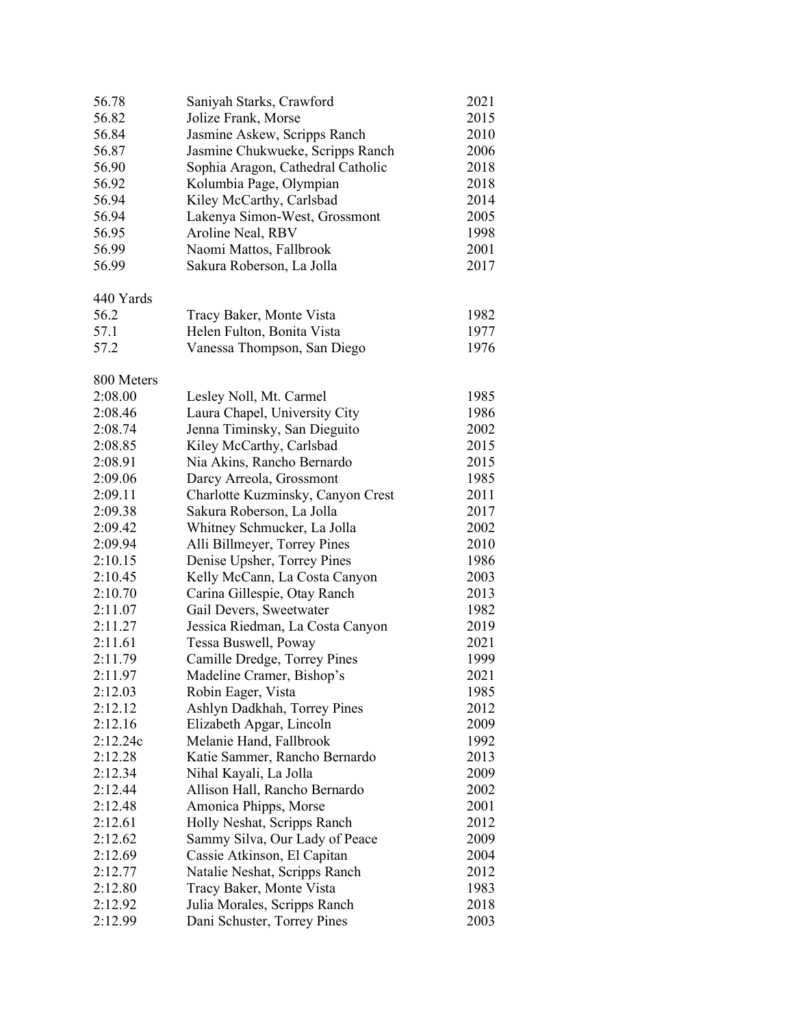| 56.78      | Saniyah Starks, Crawford          | 2021 |
|------------|-----------------------------------|------|
| 56.82      | Jolize Frank, Morse               | 2015 |
| 56.84      | Jasmine Askew, Scripps Ranch      | 2010 |
| 56.87      | Jasmine Chukwueke, Scripps Ranch  | 2006 |
| 56.90      | Sophia Aragon, Cathedral Catholic | 2018 |
| 56.92      | Kolumbia Page, Olympian           | 2018 |
| 56.94      | Kiley McCarthy, Carlsbad          | 2014 |
| 56.94      | Lakenya Simon-West, Grossmont     | 2005 |
| 56.95      | Aroline Neal, RBV                 | 1998 |
| 56.99      | Naomi Mattos, Fallbrook           | 2001 |
| 56.99      | Sakura Roberson, La Jolla         | 2017 |
| 440 Yards  |                                   |      |
| 56.2       | Tracy Baker, Monte Vista          | 1982 |
| 57.1       | Helen Fulton, Bonita Vista        | 1977 |
| 57.2       | Vanessa Thompson, San Diego       | 1976 |
|            |                                   |      |
| 800 Meters |                                   |      |
| 2:08.00    | Lesley Noll, Mt. Carmel           | 1985 |
| 2:08.46    | Laura Chapel, University City     | 1986 |
| 2:08.74    | Jenna Timinsky, San Dieguito      | 2002 |
| 2:08.85    | Kiley McCarthy, Carlsbad          | 2015 |
| 2:08.91    | Nia Akins, Rancho Bernardo        | 2015 |
| 2:09.06    | Darcy Arreola, Grossmont          | 1985 |
| 2:09.11    | Charlotte Kuzminsky, Canyon Crest | 2011 |
| 2:09.38    | Sakura Roberson, La Jolla         | 2017 |
| 2:09.42    | Whitney Schmucker, La Jolla       | 2002 |
| 2:09.94    | Alli Billmeyer, Torrey Pines      | 2010 |
| 2:10.15    | Denise Upsher, Torrey Pines       | 1986 |
| 2:10.45    | Kelly McCann, La Costa Canyon     | 2003 |
| 2:10.70    | Carina Gillespie, Otay Ranch      | 2013 |
| 2:11.07    | Gail Devers, Sweetwater           | 1982 |
| 2:11.27    | Jessica Riedman, La Costa Canyon  | 2019 |
| 2:11.61    | Tessa Buswell, Poway              | 2021 |
| 2:11.79    | Camille Dredge, Torrey Pines      | 1999 |
| 2:11.97    | Madeline Cramer, Bishop's         | 2021 |
| 2:12.03    | Robin Eager, Vista                | 1985 |
| 2:12.12    | Ashlyn Dadkhah, Torrey Pines      | 2012 |
| 2:12.16    | Elizabeth Apgar, Lincoln          | 2009 |
| 2:12.24c   | Melanie Hand, Fallbrook           | 1992 |
| 2:12.28    | Katie Sammer, Rancho Bernardo     | 2013 |
| 2:12.34    | Nihal Kayali, La Jolla            | 2009 |
| 2:12.44    | Allison Hall, Rancho Bernardo     | 2002 |
| 2:12.48    | Amonica Phipps, Morse             | 2001 |
| 2:12.61    | Holly Neshat, Scripps Ranch       | 2012 |
| 2:12.62    | Sammy Silva, Our Lady of Peace    | 2009 |
| 2:12.69    | Cassie Atkinson, El Capitan       | 2004 |
| 2:12.77    | Natalie Neshat, Scripps Ranch     | 2012 |
| 2:12.80    | Tracy Baker, Monte Vista          | 1983 |
| 2:12.92    | Julia Morales, Scripps Ranch      | 2018 |
| 2:12.99    | Dani Schuster, Torrey Pines       | 2003 |
|            |                                   |      |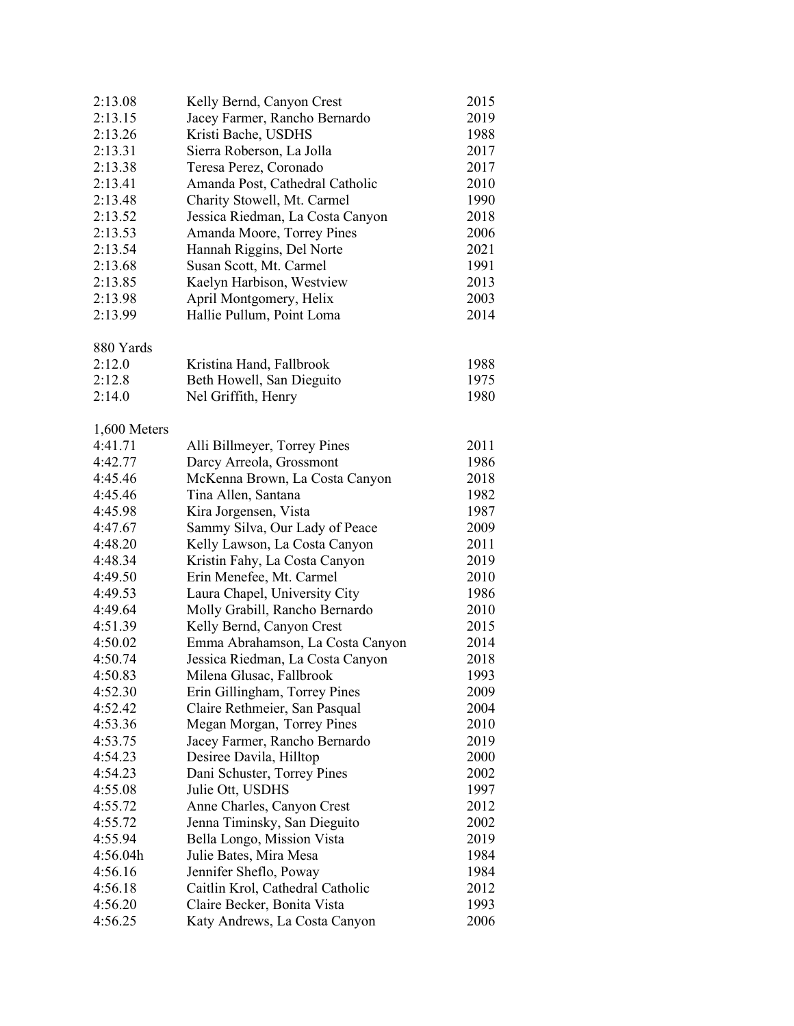| 2:13.08      | Kelly Bernd, Canyon Crest        | 2015 |
|--------------|----------------------------------|------|
| 2:13.15      | Jacey Farmer, Rancho Bernardo    | 2019 |
| 2:13.26      | Kristi Bache, USDHS              | 1988 |
| 2:13.31      | Sierra Roberson, La Jolla        | 2017 |
| 2:13.38      | Teresa Perez, Coronado           | 2017 |
| 2:13.41      | Amanda Post, Cathedral Catholic  | 2010 |
| 2:13.48      | Charity Stowell, Mt. Carmel      | 1990 |
| 2:13.52      | Jessica Riedman, La Costa Canyon | 2018 |
| 2:13.53      | Amanda Moore, Torrey Pines       | 2006 |
| 2:13.54      | Hannah Riggins, Del Norte        | 2021 |
| 2:13.68      | Susan Scott, Mt. Carmel          | 1991 |
| 2:13.85      | Kaelyn Harbison, Westview        | 2013 |
| 2:13.98      | April Montgomery, Helix          | 2003 |
| 2:13.99      | Hallie Pullum, Point Loma        | 2014 |
|              |                                  |      |
| 880 Yards    |                                  |      |
| 2:12.0       | Kristina Hand, Fallbrook         | 1988 |
| 2:12.8       | Beth Howell, San Dieguito        | 1975 |
| 2:14.0       | Nel Griffith, Henry              | 1980 |
|              |                                  |      |
| 1,600 Meters |                                  |      |
| 4:41.71      | Alli Billmeyer, Torrey Pines     | 2011 |
| 4:42.77      | Darcy Arreola, Grossmont         | 1986 |
| 4:45.46      | McKenna Brown, La Costa Canyon   | 2018 |
| 4:45.46      | Tina Allen, Santana              | 1982 |
| 4:45.98      | Kira Jorgensen, Vista            | 1987 |
| 4:47.67      | Sammy Silva, Our Lady of Peace   | 2009 |
| 4:48.20      | Kelly Lawson, La Costa Canyon    | 2011 |
| 4:48.34      | Kristin Fahy, La Costa Canyon    | 2019 |
| 4:49.50      | Erin Menefee, Mt. Carmel         | 2010 |
| 4:49.53      | Laura Chapel, University City    | 1986 |
| 4:49.64      | Molly Grabill, Rancho Bernardo   | 2010 |
| 4:51.39      | Kelly Bernd, Canyon Crest        | 2015 |
| 4:50.02      | Emma Abrahamson, La Costa Canyon | 2014 |
| 4:50.74      | Jessica Riedman, La Costa Canyon | 2018 |
| 4:50.83      | Milena Glusac, Fallbrook         | 1993 |
| 4:52.30      | Erin Gillingham, Torrey Pines    | 2009 |
| 4:52.42      | Claire Rethmeier, San Pasqual    | 2004 |
| 4:53.36      | Megan Morgan, Torrey Pines       | 2010 |
| 4:53.75      | Jacey Farmer, Rancho Bernardo    | 2019 |
| 4:54.23      | Desiree Davila, Hilltop          | 2000 |
| 4:54.23      | Dani Schuster, Torrey Pines      | 2002 |
| 4:55.08      | Julie Ott, USDHS                 | 1997 |
| 4:55.72      | Anne Charles, Canyon Crest       | 2012 |
| 4:55.72      | Jenna Timinsky, San Dieguito     | 2002 |
| 4:55.94      | Bella Longo, Mission Vista       | 2019 |
| 4:56.04h     | Julie Bates, Mira Mesa           | 1984 |
| 4:56.16      | Jennifer Sheflo, Poway           | 1984 |
| 4:56.18      | Caitlin Krol, Cathedral Catholic | 2012 |
| 4:56.20      | Claire Becker, Bonita Vista      | 1993 |
| 4:56.25      | Katy Andrews, La Costa Canyon    | 2006 |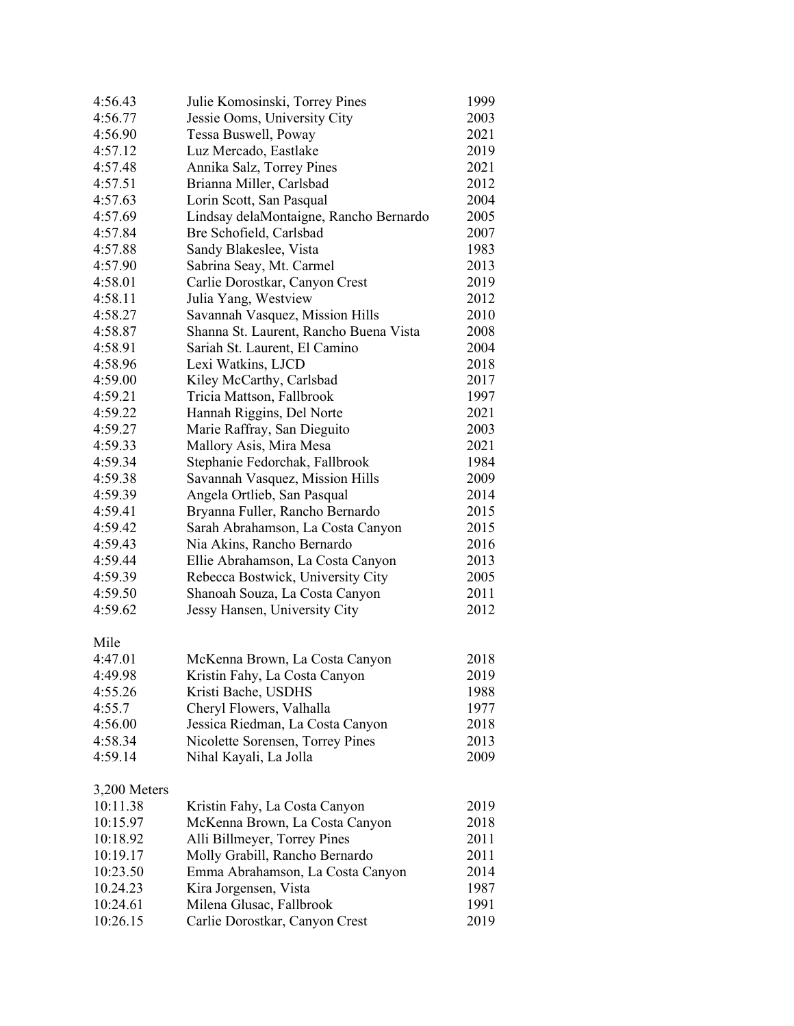| 4:56.43      | Julie Komosinski, Torrey Pines         | 1999 |
|--------------|----------------------------------------|------|
| 4:56.77      | Jessie Ooms, University City           | 2003 |
| 4:56.90      | Tessa Buswell, Poway                   | 2021 |
| 4:57.12      | Luz Mercado, Eastlake                  | 2019 |
| 4:57.48      | Annika Salz, Torrey Pines              | 2021 |
| 4:57.51      | Brianna Miller, Carlsbad               | 2012 |
| 4:57.63      | Lorin Scott, San Pasqual               | 2004 |
| 4:57.69      | Lindsay delaMontaigne, Rancho Bernardo | 2005 |
| 4:57.84      | Bre Schofield, Carlsbad                | 2007 |
| 4:57.88      | Sandy Blakeslee, Vista                 | 1983 |
| 4:57.90      | Sabrina Seay, Mt. Carmel               | 2013 |
| 4:58.01      | Carlie Dorostkar, Canyon Crest         | 2019 |
| 4:58.11      | Julia Yang, Westview                   | 2012 |
| 4:58.27      | Savannah Vasquez, Mission Hills        | 2010 |
| 4:58.87      | Shanna St. Laurent, Rancho Buena Vista | 2008 |
| 4:58.91      | Sariah St. Laurent, El Camino          | 2004 |
| 4:58.96      | Lexi Watkins, LJCD                     | 2018 |
| 4:59.00      | Kiley McCarthy, Carlsbad               | 2017 |
| 4:59.21      | Tricia Mattson, Fallbrook              | 1997 |
| 4:59.22      | Hannah Riggins, Del Norte              | 2021 |
| 4:59.27      |                                        | 2003 |
|              | Marie Raffray, San Dieguito            |      |
| 4:59.33      | Mallory Asis, Mira Mesa                | 2021 |
| 4:59.34      | Stephanie Fedorchak, Fallbrook         | 1984 |
| 4:59.38      | Savannah Vasquez, Mission Hills        | 2009 |
| 4:59.39      | Angela Ortlieb, San Pasqual            | 2014 |
| 4:59.41      | Bryanna Fuller, Rancho Bernardo        | 2015 |
| 4:59.42      | Sarah Abrahamson, La Costa Canyon      | 2015 |
| 4:59.43      | Nia Akins, Rancho Bernardo             | 2016 |
| 4:59.44      | Ellie Abrahamson, La Costa Canyon      | 2013 |
| 4:59.39      | Rebecca Bostwick, University City      | 2005 |
| 4:59.50      | Shanoah Souza, La Costa Canyon         | 2011 |
| 4:59.62      | Jessy Hansen, University City          | 2012 |
| Mile         |                                        |      |
| 4:47.01      | McKenna Brown, La Costa Canyon         | 2018 |
| 4:49.98      | Kristin Fahy, La Costa Canyon          | 2019 |
| 4:55.26      | Kristi Bache, USDHS                    | 1988 |
| 4:55.7       | Cheryl Flowers, Valhalla               | 1977 |
| 4:56.00      | Jessica Riedman, La Costa Canyon       | 2018 |
| 4:58.34      | Nicolette Sorensen, Torrey Pines       | 2013 |
| 4:59.14      | Nihal Kayali, La Jolla                 | 2009 |
| 3,200 Meters |                                        |      |
| 10:11.38     | Kristin Fahy, La Costa Canyon          | 2019 |
| 10:15.97     | McKenna Brown, La Costa Canyon         | 2018 |
| 10:18.92     | Alli Billmeyer, Torrey Pines           | 2011 |
| 10:19.17     | Molly Grabill, Rancho Bernardo         | 2011 |
| 10:23.50     | Emma Abrahamson, La Costa Canyon       | 2014 |
| 10.24.23     | Kira Jorgensen, Vista                  | 1987 |
| 10:24.61     | Milena Glusac, Fallbrook               | 1991 |
| 10:26.15     | Carlie Dorostkar, Canyon Crest         | 2019 |
|              |                                        |      |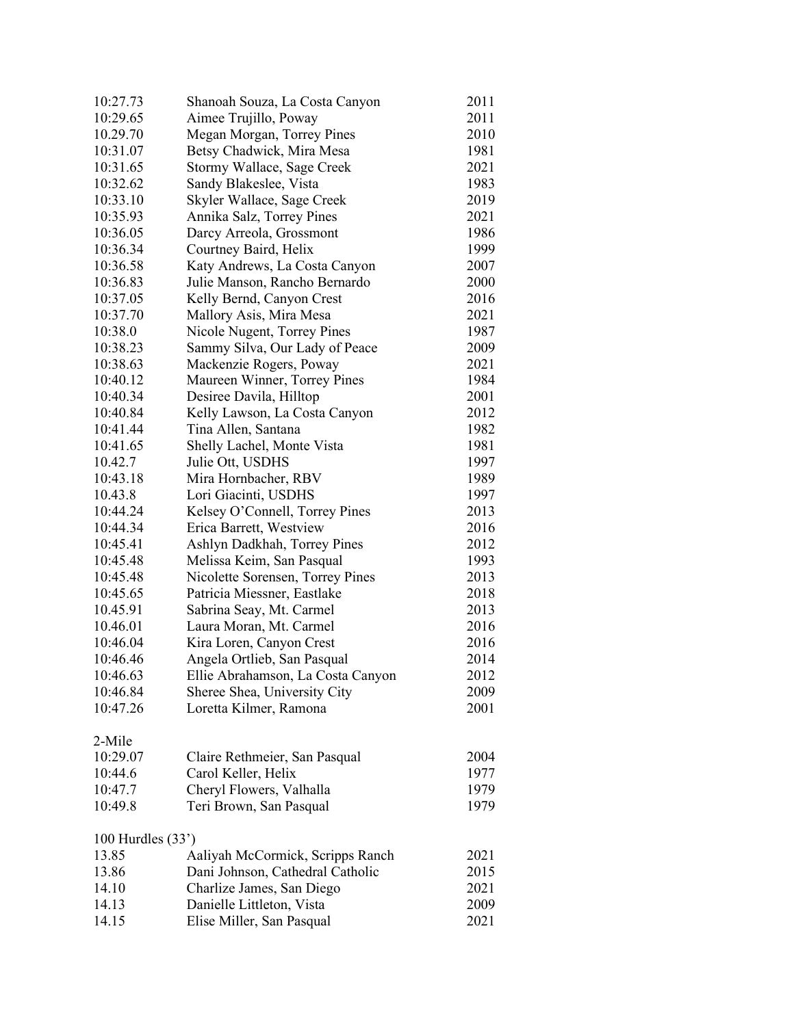| 10:27.73            | Shanoah Souza, La Costa Canyon    | 2011 |
|---------------------|-----------------------------------|------|
| 10:29.65            | Aimee Trujillo, Poway             | 2011 |
| 10.29.70            | Megan Morgan, Torrey Pines        | 2010 |
| 10:31.07            | Betsy Chadwick, Mira Mesa         | 1981 |
| 10:31.65            | Stormy Wallace, Sage Creek        | 2021 |
| 10:32.62            | Sandy Blakeslee, Vista            | 1983 |
| 10:33.10            | Skyler Wallace, Sage Creek        | 2019 |
| 10:35.93            | Annika Salz, Torrey Pines         | 2021 |
| 10:36.05            | Darcy Arreola, Grossmont          | 1986 |
| 10:36.34            | Courtney Baird, Helix             | 1999 |
| 10:36.58            | Katy Andrews, La Costa Canyon     | 2007 |
| 10:36.83            | Julie Manson, Rancho Bernardo     | 2000 |
| 10:37.05            | Kelly Bernd, Canyon Crest         | 2016 |
| 10:37.70            | Mallory Asis, Mira Mesa           | 2021 |
| 10:38.0             | Nicole Nugent, Torrey Pines       | 1987 |
| 10:38.23            | Sammy Silva, Our Lady of Peace    | 2009 |
| 10:38.63            | Mackenzie Rogers, Poway           | 2021 |
| 10:40.12            | Maureen Winner, Torrey Pines      | 1984 |
| 10:40.34            | Desiree Davila, Hilltop           | 2001 |
| 10:40.84            | Kelly Lawson, La Costa Canyon     | 2012 |
| 10:41.44            | Tina Allen, Santana               | 1982 |
| 10:41.65            | Shelly Lachel, Monte Vista        | 1981 |
| 10.42.7             | Julie Ott, USDHS                  | 1997 |
| 10:43.18            | Mira Hornbacher, RBV              | 1989 |
| 10.43.8             | Lori Giacinti, USDHS              | 1997 |
| 10:44.24            | Kelsey O'Connell, Torrey Pines    | 2013 |
| 10:44.34            | Erica Barrett, Westview           | 2016 |
| 10:45.41            | Ashlyn Dadkhah, Torrey Pines      | 2012 |
| 10:45.48            | Melissa Keim, San Pasqual         | 1993 |
| 10:45.48            | Nicolette Sorensen, Torrey Pines  | 2013 |
| 10:45.65            | Patricia Miessner, Eastlake       | 2018 |
| 10.45.91            | Sabrina Seay, Mt. Carmel          | 2013 |
| 10.46.01            | Laura Moran, Mt. Carmel           | 2016 |
| 10:46.04            | Kira Loren, Canyon Crest          | 2016 |
| 10:46.46            | Angela Ortlieb, San Pasqual       | 2014 |
| 10:46.63            | Ellie Abrahamson, La Costa Canyon | 2012 |
| 10:46.84            | Sheree Shea, University City      | 2009 |
| 10:47.26            | Loretta Kilmer, Ramona            | 2001 |
|                     |                                   |      |
| 2-Mile              |                                   |      |
| 10:29.07            | Claire Rethmeier, San Pasqual     | 2004 |
| 10:44.6             | Carol Keller, Helix               | 1977 |
| 10:47.7             | Cheryl Flowers, Valhalla          | 1979 |
| 10:49.8             | Teri Brown, San Pasqual           | 1979 |
|                     |                                   |      |
| 100 Hurdles $(33')$ |                                   |      |
| 13.85               | Aaliyah McCormick, Scripps Ranch  | 2021 |
| 13.86               | Dani Johnson, Cathedral Catholic  | 2015 |
| 14.10               | Charlize James, San Diego         | 2021 |
| 14.13               | Danielle Littleton, Vista         | 2009 |
| 14.15               | Elise Miller, San Pasqual         | 2021 |
|                     |                                   |      |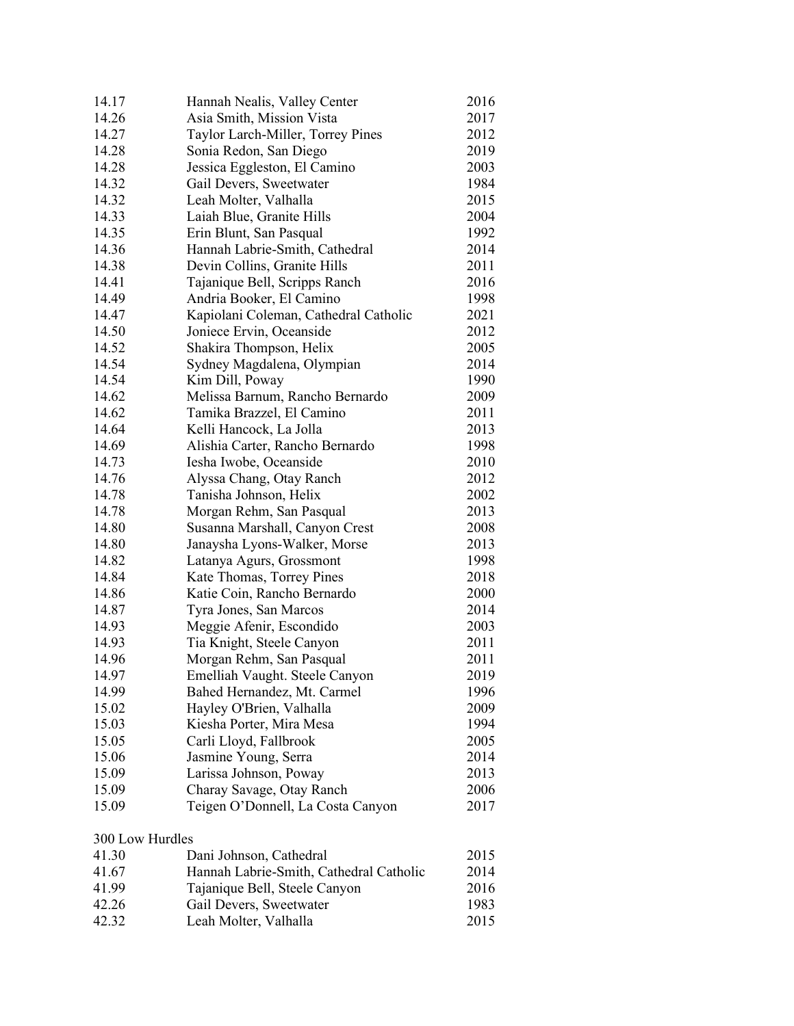| 14.17           | Hannah Nealis, Valley Center            | 2016 |
|-----------------|-----------------------------------------|------|
| 14.26           | Asia Smith, Mission Vista               | 2017 |
| 14.27           | Taylor Larch-Miller, Torrey Pines       | 2012 |
| 14.28           | Sonia Redon, San Diego                  | 2019 |
| 14.28           | Jessica Eggleston, El Camino            | 2003 |
| 14.32           | Gail Devers, Sweetwater                 | 1984 |
| 14.32           | Leah Molter, Valhalla                   | 2015 |
| 14.33           | Laiah Blue, Granite Hills               | 2004 |
| 14.35           | Erin Blunt, San Pasqual                 | 1992 |
| 14.36           | Hannah Labrie-Smith, Cathedral          | 2014 |
| 14.38           | Devin Collins, Granite Hills            | 2011 |
| 14.41           | Tajanique Bell, Scripps Ranch           | 2016 |
| 14.49           | Andria Booker, El Camino                | 1998 |
| 14.47           | Kapiolani Coleman, Cathedral Catholic   | 2021 |
| 14.50           | Joniece Ervin, Oceanside                | 2012 |
| 14.52           | Shakira Thompson, Helix                 | 2005 |
| 14.54           | Sydney Magdalena, Olympian              | 2014 |
| 14.54           | Kim Dill, Poway                         | 1990 |
| 14.62           | Melissa Barnum, Rancho Bernardo         | 2009 |
| 14.62           | Tamika Brazzel, El Camino               | 2011 |
| 14.64           | Kelli Hancock, La Jolla                 | 2013 |
| 14.69           | Alishia Carter, Rancho Bernardo         | 1998 |
| 14.73           | Iesha Iwobe, Oceanside                  | 2010 |
| 14.76           | Alyssa Chang, Otay Ranch                | 2012 |
| 14.78           | Tanisha Johnson, Helix                  | 2002 |
| 14.78           | Morgan Rehm, San Pasqual                | 2013 |
| 14.80           | Susanna Marshall, Canyon Crest          | 2008 |
| 14.80           | Janaysha Lyons-Walker, Morse            | 2013 |
| 14.82           | Latanya Agurs, Grossmont                | 1998 |
| 14.84           | Kate Thomas, Torrey Pines               | 2018 |
| 14.86           | Katie Coin, Rancho Bernardo             | 2000 |
| 14.87           | Tyra Jones, San Marcos                  | 2014 |
| 14.93           | Meggie Afenir, Escondido                | 2003 |
| 14.93           | Tia Knight, Steele Canyon               | 2011 |
| 14.96           | Morgan Rehm, San Pasqual                | 2011 |
| 14.97           | Emelliah Vaught. Steele Canyon          | 2019 |
| 14.99           | Bahed Hernandez, Mt. Carmel             | 1996 |
| 15.02           | Hayley O'Brien, Valhalla                | 2009 |
| 15.03           | Kiesha Porter, Mira Mesa                | 1994 |
| 15.05           | Carli Lloyd, Fallbrook                  | 2005 |
| 15.06           | Jasmine Young, Serra                    | 2014 |
| 15.09           | Larissa Johnson, Poway                  | 2013 |
| 15.09           | Charay Savage, Otay Ranch               | 2006 |
| 15.09           | Teigen O'Donnell, La Costa Canyon       | 2017 |
|                 |                                         |      |
| 300 Low Hurdles |                                         |      |
| 41.30           | Dani Johnson, Cathedral                 | 2015 |
| 41.67           | Hannah Labrie-Smith, Cathedral Catholic | 2014 |
| 41.99           | Tajanique Bell, Steele Canyon           | 2016 |
| 42.26           | Gail Devers, Sweetwater                 | 1983 |
| 42.32           | Leah Molter, Valhalla                   | 2015 |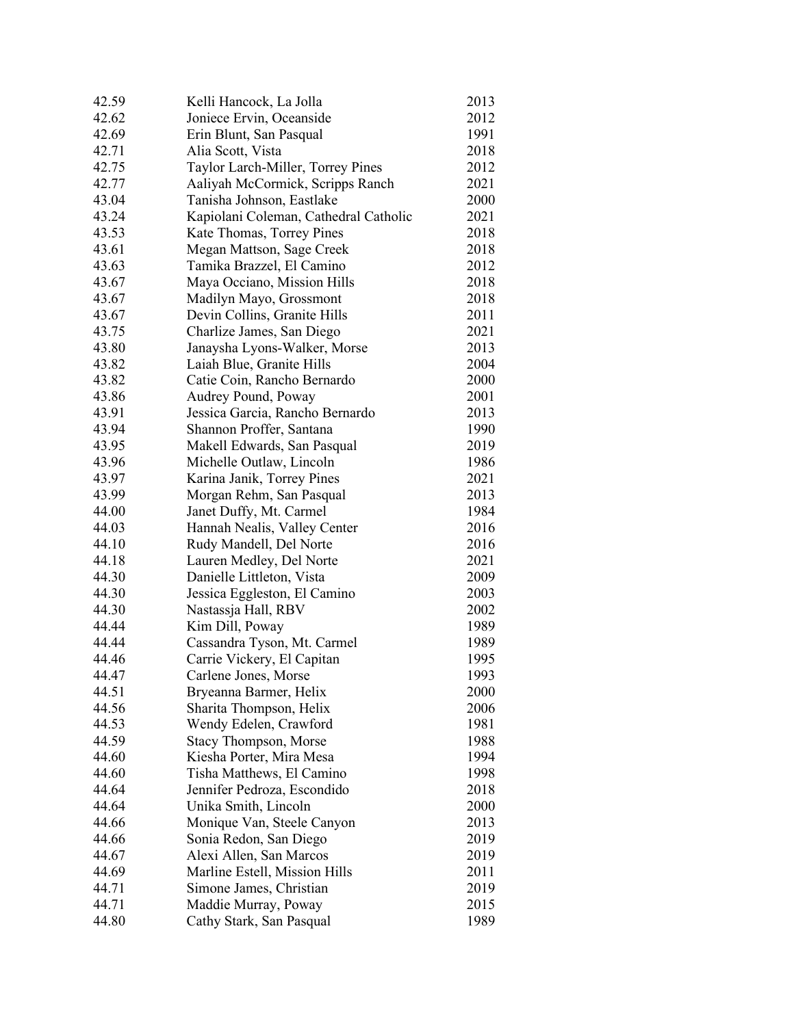| 42.59 | Kelli Hancock, La Jolla               | 2013 |
|-------|---------------------------------------|------|
| 42.62 | Joniece Ervin, Oceanside              | 2012 |
| 42.69 | Erin Blunt, San Pasqual               | 1991 |
| 42.71 | Alia Scott, Vista                     | 2018 |
| 42.75 | Taylor Larch-Miller, Torrey Pines     | 2012 |
| 42.77 | Aaliyah McCormick, Scripps Ranch      | 2021 |
| 43.04 | Tanisha Johnson, Eastlake             | 2000 |
| 43.24 | Kapiolani Coleman, Cathedral Catholic | 2021 |
| 43.53 | Kate Thomas, Torrey Pines             | 2018 |
| 43.61 | Megan Mattson, Sage Creek             | 2018 |
| 43.63 | Tamika Brazzel, El Camino             | 2012 |
| 43.67 | Maya Occiano, Mission Hills           | 2018 |
| 43.67 | Madilyn Mayo, Grossmont               | 2018 |
| 43.67 | Devin Collins, Granite Hills          | 2011 |
| 43.75 | Charlize James, San Diego             | 2021 |
| 43.80 | Janaysha Lyons-Walker, Morse          | 2013 |
| 43.82 | Laiah Blue, Granite Hills             | 2004 |
| 43.82 | Catie Coin, Rancho Bernardo           | 2000 |
| 43.86 | Audrey Pound, Poway                   | 2001 |
| 43.91 | Jessica Garcia, Rancho Bernardo       | 2013 |
| 43.94 | Shannon Proffer, Santana              | 1990 |
| 43.95 | Makell Edwards, San Pasqual           | 2019 |
| 43.96 | Michelle Outlaw, Lincoln              | 1986 |
| 43.97 | Karina Janik, Torrey Pines            | 2021 |
| 43.99 | Morgan Rehm, San Pasqual              | 2013 |
| 44.00 | Janet Duffy, Mt. Carmel               | 1984 |
| 44.03 | Hannah Nealis, Valley Center          | 2016 |
| 44.10 | Rudy Mandell, Del Norte               | 2016 |
| 44.18 | Lauren Medley, Del Norte              | 2021 |
| 44.30 | Danielle Littleton, Vista             | 2009 |
| 44.30 | Jessica Eggleston, El Camino          | 2003 |
| 44.30 | Nastassja Hall, RBV                   | 2002 |
| 44.44 | Kim Dill, Poway                       | 1989 |
| 44.44 | Cassandra Tyson, Mt. Carmel           | 1989 |
| 44.46 | Carrie Vickery, El Capitan            | 1995 |
| 44.47 | Carlene Jones, Morse                  | 1993 |
| 44.51 | Bryeanna Barmer, Helix                | 2000 |
| 44.56 | Sharita Thompson, Helix               | 2006 |
| 44.53 | Wendy Edelen, Crawford                | 1981 |
| 44.59 | Stacy Thompson, Morse                 | 1988 |
| 44.60 | Kiesha Porter, Mira Mesa              | 1994 |
| 44.60 | Tisha Matthews, El Camino             | 1998 |
| 44.64 | Jennifer Pedroza, Escondido           | 2018 |
| 44.64 | Unika Smith, Lincoln                  | 2000 |
| 44.66 | Monique Van, Steele Canyon            | 2013 |
| 44.66 | Sonia Redon, San Diego                | 2019 |
| 44.67 | Alexi Allen, San Marcos               | 2019 |
| 44.69 | Marline Estell, Mission Hills         | 2011 |
| 44.71 | Simone James, Christian               | 2019 |
| 44.71 | Maddie Murray, Poway                  | 2015 |
| 44.80 | Cathy Stark, San Pasqual              | 1989 |
|       |                                       |      |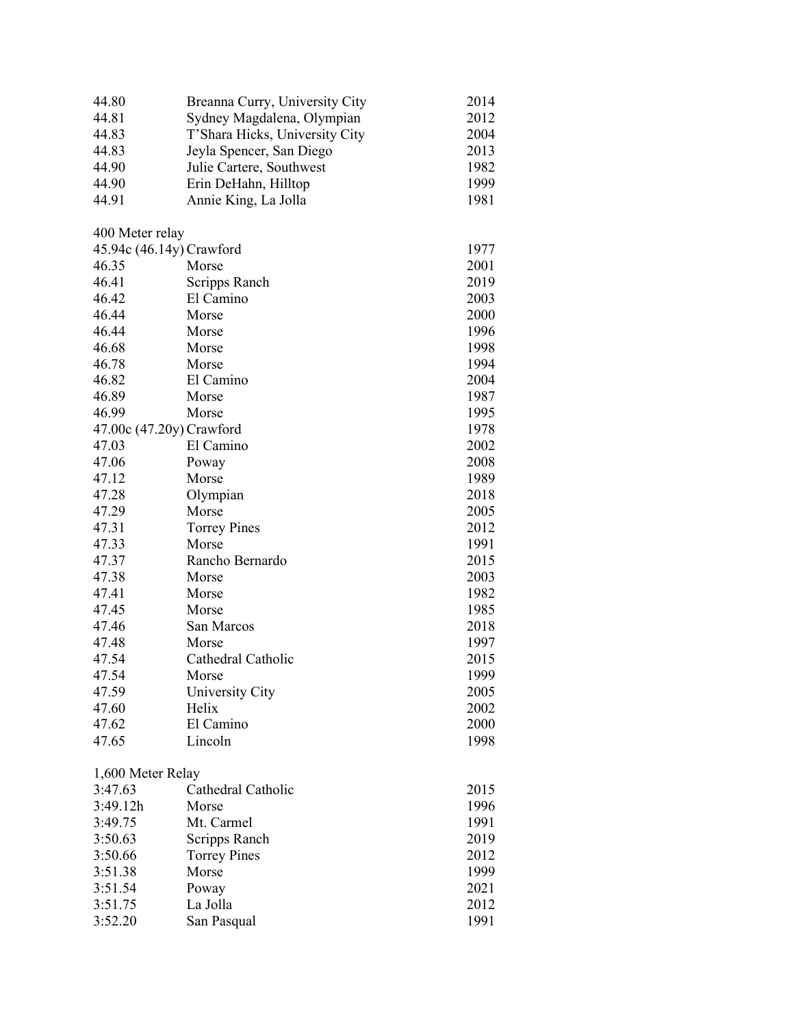| 44.80                    | Breanna Curry, University City | 2014         |
|--------------------------|--------------------------------|--------------|
| 44.81                    | Sydney Magdalena, Olympian     | 2012         |
| 44.83                    | T'Shara Hicks, University City | 2004         |
| 44.83                    | Jeyla Spencer, San Diego       | 2013         |
| 44.90                    | Julie Cartere, Southwest       | 1982         |
| 44.90                    | Erin DeHahn, Hilltop           | 1999         |
| 44.91                    | Annie King, La Jolla           | 1981         |
|                          |                                |              |
| 400 Meter relay          |                                |              |
| 45.94c (46.14y) Crawford |                                | 1977         |
| 46.35                    | Morse                          | 2001         |
| 46.41                    | Scripps Ranch                  | 2019         |
| 46.42                    | El Camino                      | 2003         |
| 46.44                    | Morse                          | 2000         |
| 46.44                    | Morse                          | 1996         |
| 46.68                    | Morse                          | 1998         |
| 46.78                    | Morse                          | 1994         |
| 46.82                    | El Camino                      | 2004         |
| 46.89                    | Morse                          | 1987         |
| 46.99                    | Morse                          | 1995         |
| 47.00c (47.20y) Crawford |                                | 1978         |
| 47.03                    | El Camino                      | 2002         |
| 47.06                    | Poway                          | 2008         |
| 47.12                    | Morse                          | 1989         |
| 47.28                    | Olympian                       | 2018         |
| 47.29                    | Morse                          | 2005         |
| 47.31                    | <b>Torrey Pines</b>            | 2012         |
| 47.33                    | Morse                          | 1991         |
| 47.37                    | Rancho Bernardo                | 2015         |
| 47.38                    | Morse                          | 2003         |
| 47.41                    | Morse                          | 1982         |
| 47.45                    | Morse                          | 1985         |
| 47.46                    | San Marcos                     | 2018         |
| 47.48                    | Morse                          | 1997         |
| 47.54                    | Cathedral Catholic             | 2015         |
| 47.54                    | Morse                          | 1999         |
|                          |                                |              |
| 47.59<br>47.60           | University City<br>Helix       | 2005         |
| 47.62                    | El Camino                      | 2002         |
|                          |                                | 2000         |
| 47.65                    | Lincoln                        | 1998         |
| 1,600 Meter Relay        |                                |              |
| 3:47.63                  | Cathedral Catholic             | 2015         |
| 3:49.12h                 | Morse                          |              |
| 3:49.75                  | Mt. Carmel                     | 1996<br>1991 |
|                          |                                |              |
| 3:50.63                  | Scripps Ranch                  | 2019         |
| 3:50.66                  | <b>Torrey Pines</b>            | 2012         |
| 3:51.38                  | Morse                          | 1999         |
| 3:51.54                  | Poway                          | 2021         |
| 3:51.75                  | La Jolla                       | 2012         |
| 3:52.20                  | San Pasqual                    | 1991         |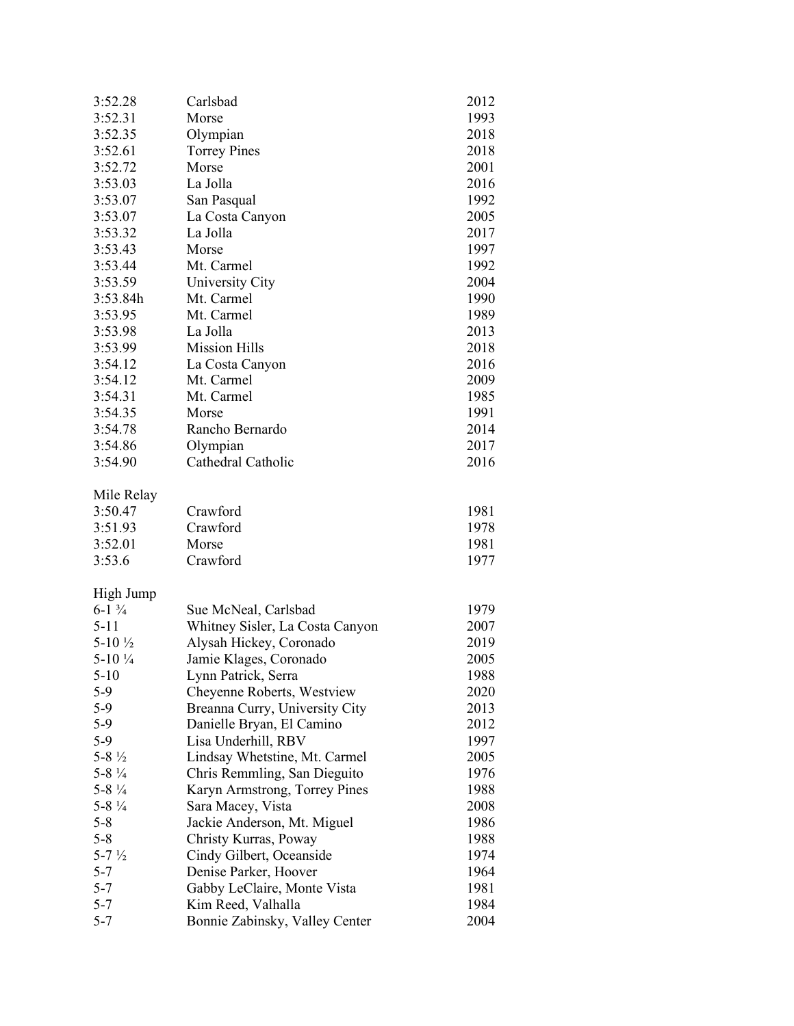| 3:52.28            | Carlsbad                        | 2012 |
|--------------------|---------------------------------|------|
| 3:52.31            | Morse                           | 1993 |
| 3:52.35            | Olympian                        | 2018 |
| 3:52.61            | <b>Torrey Pines</b>             | 2018 |
| 3:52.72            | Morse                           | 2001 |
| 3:53.03            | La Jolla                        | 2016 |
| 3:53.07            | San Pasqual                     | 1992 |
| 3:53.07            | La Costa Canyon                 | 2005 |
| 3:53.32            | La Jolla                        | 2017 |
| 3:53.43            | Morse                           | 1997 |
| 3:53.44            | Mt. Carmel                      | 1992 |
| 3:53.59            | University City                 | 2004 |
| 3:53.84h           | Mt. Carmel                      | 1990 |
| 3:53.95            | Mt. Carmel                      | 1989 |
| 3:53.98            | La Jolla                        | 2013 |
| 3:53.99            | <b>Mission Hills</b>            | 2018 |
| 3:54.12            | La Costa Canyon                 | 2016 |
| 3:54.12            | Mt. Carmel                      | 2009 |
| 3:54.31            | Mt. Carmel                      | 1985 |
| 3:54.35            | Morse                           | 1991 |
| 3:54.78            | Rancho Bernardo                 | 2014 |
| 3:54.86            | Olympian                        | 2017 |
| 3:54.90            | Cathedral Catholic              | 2016 |
|                    |                                 |      |
| Mile Relay         |                                 |      |
| 3:50.47            | Crawford                        | 1981 |
| 3:51.93            | Crawford                        | 1978 |
| 3:52.01            | Morse                           | 1981 |
| 3:53.6             | Crawford                        | 1977 |
|                    |                                 |      |
| High Jump          |                                 |      |
| $6-1\frac{3}{4}$   | Sue McNeal, Carlsbad            | 1979 |
| $5 - 11$           | Whitney Sisler, La Costa Canyon | 2007 |
| $5-10\frac{1}{2}$  | Alysah Hickey, Coronado         | 2019 |
| $5-10\frac{1}{4}$  | Jamie Klages, Coronado          | 2005 |
| $5-10$             | Lynn Patrick, Serra             | 1988 |
| $5-9$              | Cheyenne Roberts, Westview      | 2020 |
| $5-9$              | Breanna Curry, University City  | 2013 |
| $5-9$              | Danielle Bryan, El Camino       | 2012 |
| $5-9$              | Lisa Underhill, RBV             | 1997 |
| $5 - 8\frac{1}{2}$ | Lindsay Whetstine, Mt. Carmel   | 2005 |
| $5 - 8\frac{1}{4}$ | Chris Remmling, San Dieguito    | 1976 |
| $5 - 8\frac{1}{4}$ | Karyn Armstrong, Torrey Pines   | 1988 |
| $5 - 8\frac{1}{4}$ | Sara Macey, Vista               | 2008 |
| $5 - 8$            | Jackie Anderson, Mt. Miguel     | 1986 |
| $5 - 8$            | Christy Kurras, Poway           | 1988 |
| $5 - 7\frac{1}{2}$ | Cindy Gilbert, Oceanside        | 1974 |
| $5 - 7$            | Denise Parker, Hoover           | 1964 |
| $5 - 7$            | Gabby LeClaire, Monte Vista     | 1981 |
| $5 - 7$            | Kim Reed, Valhalla              | 1984 |
| $5 - 7$            | Bonnie Zabinsky, Valley Center  | 2004 |
|                    |                                 |      |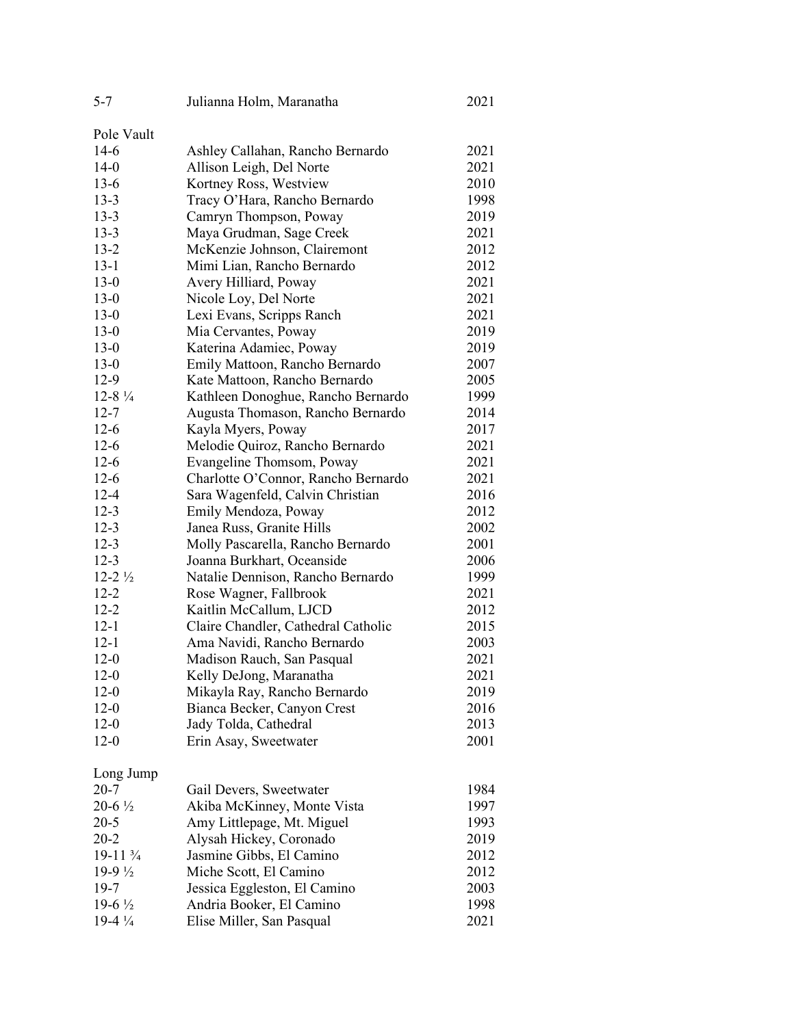| $5 - 7$             | Julianna Holm, Maranatha            | 2021 |
|---------------------|-------------------------------------|------|
| Pole Vault          |                                     |      |
| $14-6$              | Ashley Callahan, Rancho Bernardo    | 2021 |
| $14-0$              | Allison Leigh, Del Norte            | 2021 |
| $13-6$              | Kortney Ross, Westview              | 2010 |
| $13-3$              | Tracy O'Hara, Rancho Bernardo       | 1998 |
| $13-3$              | Camryn Thompson, Poway              | 2019 |
| $13 - 3$            | Maya Grudman, Sage Creek            | 2021 |
| $13 - 2$            | McKenzie Johnson, Clairemont        | 2012 |
| $13 - 1$            | Mimi Lian, Rancho Bernardo          | 2012 |
| $13-0$              | Avery Hilliard, Poway               | 2021 |
| $13-0$              | Nicole Loy, Del Norte               | 2021 |
| $13-0$              | Lexi Evans, Scripps Ranch           | 2021 |
| $13-0$              | Mia Cervantes, Poway                | 2019 |
| $13-0$              | Katerina Adamiec, Poway             | 2019 |
| $13-0$              | Emily Mattoon, Rancho Bernardo      | 2007 |
| $12-9$              | Kate Mattoon, Rancho Bernardo       | 2005 |
| $12 - 8\frac{1}{4}$ | Kathleen Donoghue, Rancho Bernardo  | 1999 |
| $12 - 7$            | Augusta Thomason, Rancho Bernardo   | 2014 |
| $12-6$              | Kayla Myers, Poway                  | 2017 |
| $12-6$              | Melodie Quiroz, Rancho Bernardo     | 2021 |
| $12-6$              | Evangeline Thomsom, Poway           | 2021 |
| $12-6$              | Charlotte O'Connor, Rancho Bernardo | 2021 |
| $12 - 4$            | Sara Wagenfeld, Calvin Christian    | 2016 |
| $12 - 3$            | Emily Mendoza, Poway                | 2012 |
| $12 - 3$            | Janea Russ, Granite Hills           | 2002 |
| $12 - 3$            | Molly Pascarella, Rancho Bernardo   | 2001 |
| $12 - 3$            | Joanna Burkhart, Oceanside          | 2006 |
| $12 - 2\frac{1}{2}$ | Natalie Dennison, Rancho Bernardo   | 1999 |
| $12 - 2$            | Rose Wagner, Fallbrook              | 2021 |
| $12 - 2$            | Kaitlin McCallum, LJCD              | 2012 |
| $12 - 1$            | Claire Chandler, Cathedral Catholic | 2015 |
| $12 - 1$            | Ama Navidi, Rancho Bernardo         | 2003 |
| $12 - 0$            | Madison Rauch, San Pasqual          | 2021 |
| $12 - 0$            | Kelly DeJong, Maranatha             | 2021 |
| $12-0$              | Mikayla Ray, Rancho Bernardo        | 2019 |
| $12-0$              | Bianca Becker, Canyon Crest         | 2016 |
| $12-0$              | Jady Tolda, Cathedral               | 2013 |
| $12-0$              | Erin Asay, Sweetwater               | 2001 |
|                     |                                     |      |
| Long Jump           |                                     |      |
| $20 - 7$            | Gail Devers, Sweetwater             | 1984 |
| $20 - 6\frac{1}{2}$ | Akiba McKinney, Monte Vista         | 1997 |
| $20 - 5$            | Amy Littlepage, Mt. Miguel          | 1993 |
| $20 - 2$            | Alysah Hickey, Coronado             | 2019 |
| 19-11 3/4           | Jasmine Gibbs, El Camino            | 2012 |
| $19-9\frac{1}{2}$   | Miche Scott, El Camino              | 2012 |
| $19-7$              | Jessica Eggleston, El Camino        | 2003 |
| $19-6\frac{1}{2}$   | Andria Booker, El Camino            | 1998 |
| $19-4\frac{1}{4}$   | Elise Miller, San Pasqual           | 2021 |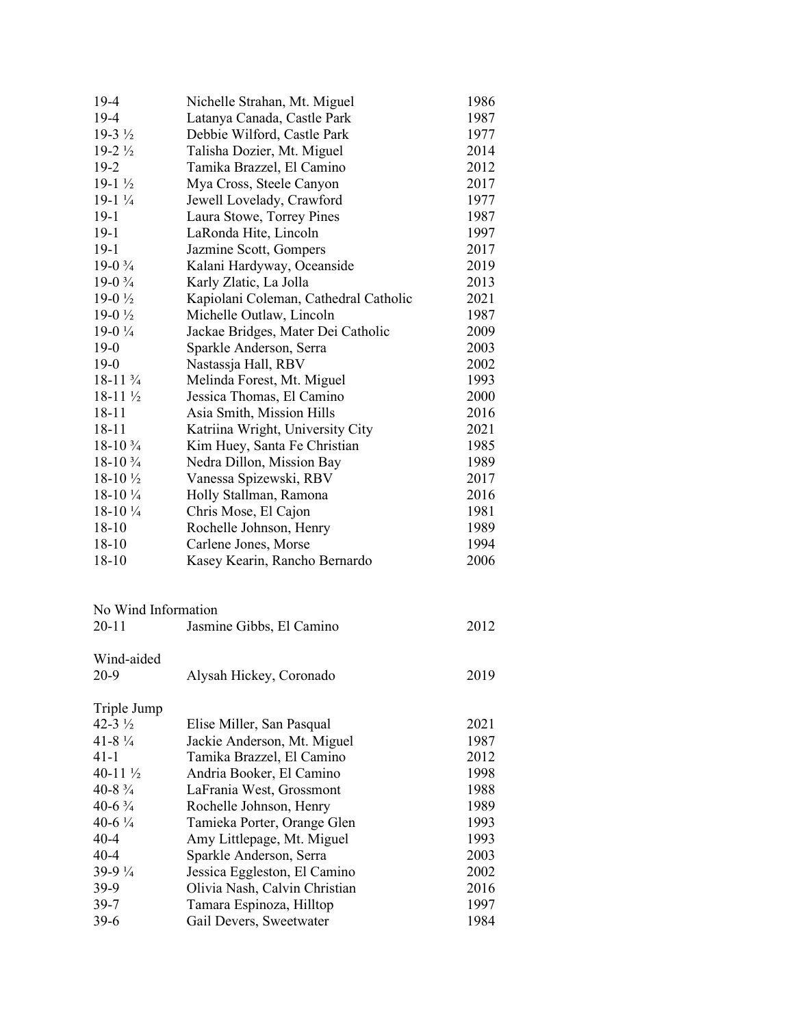| 19-4                | Nichelle Strahan, Mt. Miguel          | 1986 |
|---------------------|---------------------------------------|------|
| $19-4$              | Latanya Canada, Castle Park           | 1987 |
| $19-3\frac{1}{2}$   | Debbie Wilford, Castle Park           | 1977 |
| $19-2\frac{1}{2}$   | Talisha Dozier, Mt. Miguel            | 2014 |
| $19-2$              | Tamika Brazzel, El Camino             | 2012 |
| $19-1\frac{1}{2}$   | Mya Cross, Steele Canyon              | 2017 |
| $19-1\frac{1}{4}$   | Jewell Lovelady, Crawford             | 1977 |
| $19-1$              | Laura Stowe, Torrey Pines             | 1987 |
| $19-1$              | LaRonda Hite, Lincoln                 | 1997 |
| $19-1$              | Jazmine Scott, Gompers                | 2017 |
| $19-0\frac{3}{4}$   | Kalani Hardyway, Oceanside            | 2019 |
| $19-0.3/4$          | Karly Zlatic, La Jolla                | 2013 |
| $19-0\frac{1}{2}$   | Kapiolani Coleman, Cathedral Catholic | 2021 |
| $19-0\frac{1}{2}$   | Michelle Outlaw, Lincoln              | 1987 |
| $19-01/4$           | Jackae Bridges, Mater Dei Catholic    | 2009 |
| $19-0$              | Sparkle Anderson, Serra               | 2003 |
| $19-0$              | Nastassja Hall, RBV                   | 2002 |
| $18-11\frac{3}{4}$  | Melinda Forest, Mt. Miguel            | 1993 |
| $18-11\frac{1}{2}$  | Jessica Thomas, El Camino             | 2000 |
| 18-11               | Asia Smith, Mission Hills             | 2016 |
| $18 - 11$           | Katriina Wright, University City      | 2021 |
| 18-10 3/4           | Kim Huey, Santa Fe Christian          | 1985 |
| $18-10\frac{3}{4}$  | Nedra Dillon, Mission Bay             | 1989 |
| $18-10\frac{1}{2}$  | Vanessa Spizewski, RBV                | 2017 |
| $18-10\frac{1}{4}$  | Holly Stallman, Ramona                | 2016 |
| $18-10\frac{1}{4}$  | Chris Mose, El Cajon                  | 1981 |
| 18-10               | Rochelle Johnson, Henry               | 1989 |
| 18-10               | Carlene Jones, Morse                  | 1994 |
| 18-10               | Kasey Kearin, Rancho Bernardo         | 2006 |
|                     |                                       |      |
| No Wind Information |                                       |      |
| $20 - 11$           | Jasmine Gibbs, El Camino              | 2012 |
|                     |                                       |      |
| Wind-aided          |                                       |      |
| 20-9                | Alysah Hickey, Coronado               | 2019 |
|                     |                                       |      |
| Triple Jump         |                                       |      |
| 42-3 $\frac{1}{2}$  | Elise Miller, San Pasqual             | 2021 |
| $41-8\frac{1}{4}$   | Jackie Anderson, Mt. Miguel           | 1987 |
| $41 - 1$            | Tamika Brazzel, El Camino             | 2012 |
| 40-11 1/2           | Andria Booker, El Camino              | 1998 |
| $40 - 8\frac{3}{4}$ | LaFrania West, Grossmont              | 1988 |
| $40-6\frac{3}{4}$   | Rochelle Johnson, Henry               | 1989 |
| 40-6 $\frac{1}{4}$  | Tamieka Porter, Orange Glen           | 1993 |
| $40 - 4$            | Amy Littlepage, Mt. Miguel            | 1993 |
| $40 - 4$            | Sparkle Anderson, Serra               | 2003 |
| $39-9\frac{1}{4}$   | Jessica Eggleston, El Camino          | 2002 |
| 39-9                | Olivia Nash, Calvin Christian         | 2016 |
| $39 - 7$            | Tamara Espinoza, Hilltop              | 1997 |
| $39-6$              | Gail Devers, Sweetwater               | 1984 |
|                     |                                       |      |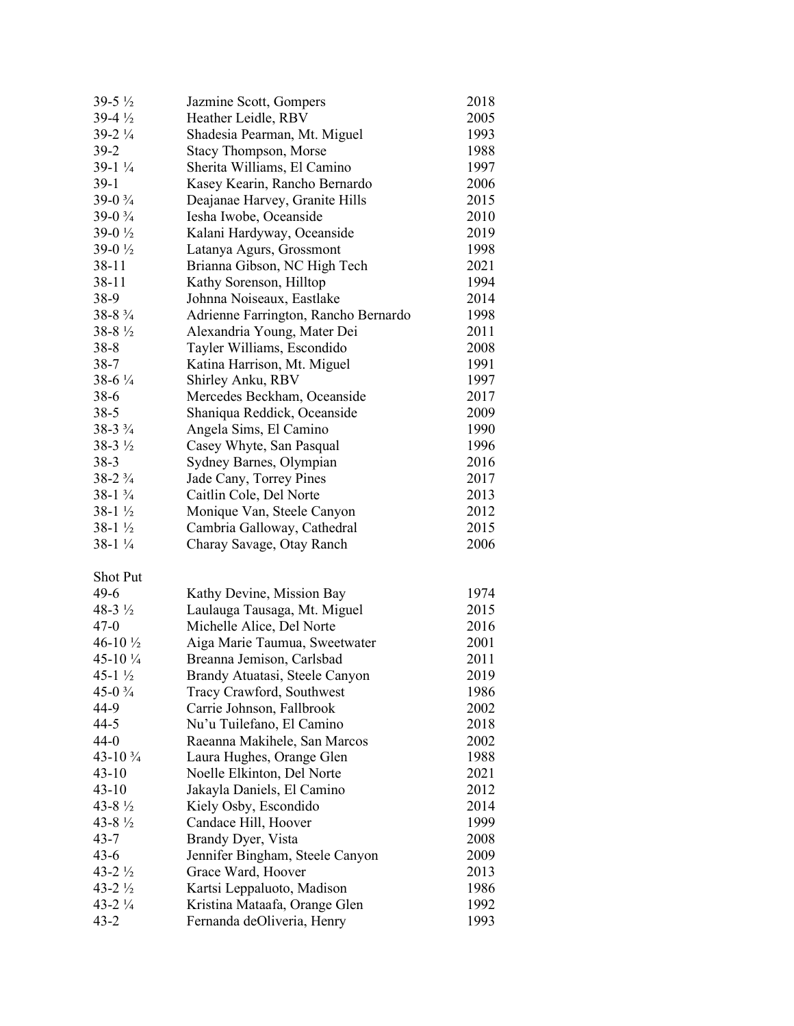| $39-5\frac{1}{2}$   | Jazmine Scott, Gompers                                 | 2018 |
|---------------------|--------------------------------------------------------|------|
| $39-4\frac{1}{2}$   | Heather Leidle, RBV                                    | 2005 |
| $39-2\frac{1}{4}$   | Shadesia Pearman, Mt. Miguel                           | 1993 |
| $39-2$              | <b>Stacy Thompson, Morse</b>                           | 1988 |
| $39-1\frac{1}{4}$   | Sherita Williams, El Camino                            | 1997 |
| $39-1$              | Kasey Kearin, Rancho Bernardo                          | 2006 |
| $39-0\frac{3}{4}$   | Deajanae Harvey, Granite Hills                         | 2015 |
| $39-0\frac{3}{4}$   | Iesha Iwobe, Oceanside                                 | 2010 |
| $39-0\frac{1}{2}$   | Kalani Hardyway, Oceanside                             | 2019 |
| 39-0 $\frac{1}{2}$  | Latanya Agurs, Grossmont                               | 1998 |
| $38 - 11$           | Brianna Gibson, NC High Tech                           | 2021 |
| $38 - 11$           | Kathy Sorenson, Hilltop                                | 1994 |
| $38-9$              | Johnna Noiseaux, Eastlake                              | 2014 |
| $38 - 8\frac{3}{4}$ | Adrienne Farrington, Rancho Bernardo                   | 1998 |
| $38 - 8\frac{1}{2}$ | Alexandria Young, Mater Dei                            | 2011 |
| $38 - 8$            | Tayler Williams, Escondido                             | 2008 |
| $38 - 7$            | Katina Harrison, Mt. Miguel                            | 1991 |
| $38-6\frac{1}{4}$   | Shirley Anku, RBV                                      | 1997 |
| $38-6$              | Mercedes Beckham, Oceanside                            | 2017 |
| $38 - 5$            | Shaniqua Reddick, Oceanside                            | 2009 |
| $38-3\frac{3}{4}$   | Angela Sims, El Camino                                 | 1990 |
| $38-3\frac{1}{2}$   | Casey Whyte, San Pasqual                               | 1996 |
| $38-3$              | Sydney Barnes, Olympian                                | 2016 |
| $38-2\frac{3}{4}$   | Jade Cany, Torrey Pines                                | 2017 |
| $38-1\frac{3}{4}$   | Caitlin Cole, Del Norte                                | 2013 |
| $38-1\frac{1}{2}$   | Monique Van, Steele Canyon                             | 2012 |
| $38-1\frac{1}{2}$   | Cambria Galloway, Cathedral                            | 2015 |
| $38-1\frac{1}{4}$   | Charay Savage, Otay Ranch                              | 2006 |
| <b>Shot Put</b>     |                                                        |      |
| $49-6$              | Kathy Devine, Mission Bay                              | 1974 |
| 48-3 $\frac{1}{2}$  | Laulauga Tausaga, Mt. Miguel                           | 2015 |
| $47-0$              | Michelle Alice, Del Norte                              | 2016 |
| $46-10\frac{1}{2}$  | Aiga Marie Taumua, Sweetwater                          | 2001 |
| $45-10\frac{1}{4}$  | Breanna Jemison, Carlsbad                              | 2011 |
| $45-1\frac{1}{2}$   |                                                        | 2019 |
| $45-0\frac{3}{4}$   | Brandy Atuatasi, Steele Canyon                         | 1986 |
| 44-9                | Tracy Crawford, Southwest                              | 2002 |
| $44 - 5$            | Carrie Johnson, Fallbrook<br>Nu'u Tuilefano, El Camino | 2018 |
| $44-0$              | Raeanna Makihele, San Marcos                           | 2002 |
| $43-10\frac{3}{4}$  | Laura Hughes, Orange Glen                              | 1988 |
| $43 - 10$           |                                                        |      |
|                     | Noelle Elkinton, Del Norte                             | 2021 |
| $43 - 10$           | Jakayla Daniels, El Camino                             | 2012 |
| $43 - 8\frac{1}{2}$ | Kiely Osby, Escondido                                  | 2014 |
| 43-8 $\frac{1}{2}$  | Candace Hill, Hoover                                   | 1999 |
| $43 - 7$            | Brandy Dyer, Vista                                     | 2008 |
| $43-6$              | Jennifer Bingham, Steele Canyon                        | 2009 |
| $43 - 2\frac{1}{2}$ | Grace Ward, Hoover                                     | 2013 |
| 43-2 $\frac{1}{2}$  | Kartsi Leppaluoto, Madison                             | 1986 |
| $43 - 2\frac{1}{4}$ | Kristina Mataafa, Orange Glen                          | 1992 |
| $43 - 2$            | Fernanda deOliveria, Henry                             | 1993 |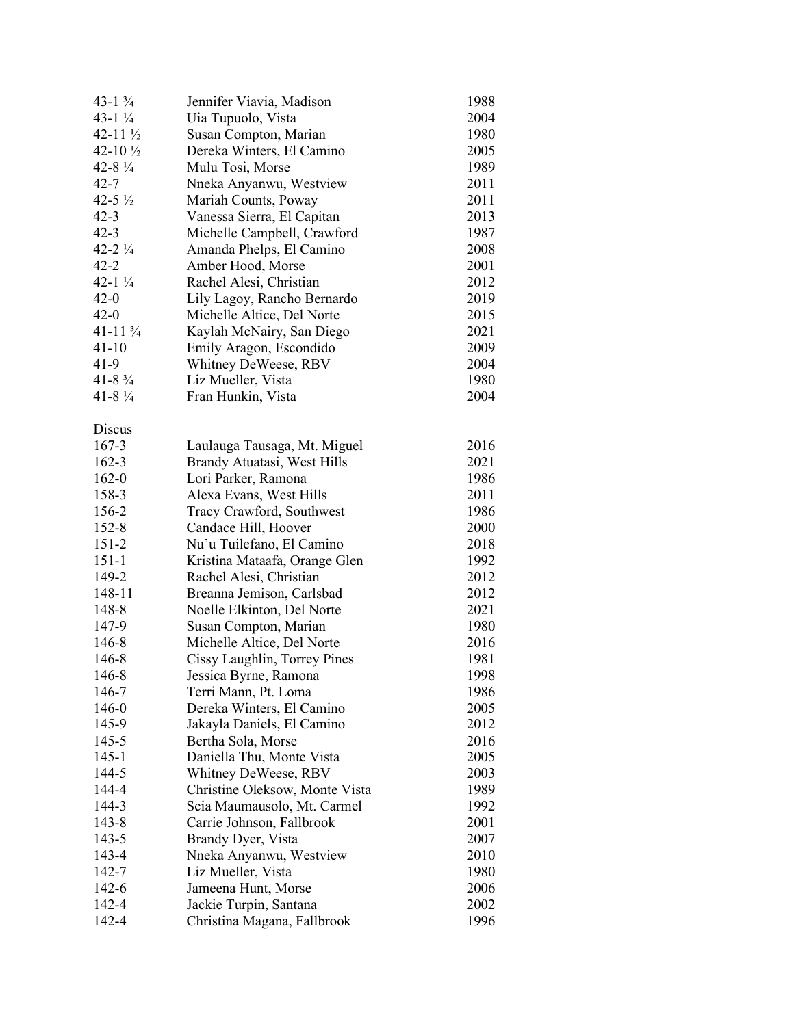| $43-1\frac{3}{4}$     | Jennifer Viavia, Madison       | 1988 |
|-----------------------|--------------------------------|------|
| $43-1\frac{1}{4}$     | Uia Tupuolo, Vista             | 2004 |
| 42-11 $\frac{1}{2}$   | Susan Compton, Marian          | 1980 |
| 42-10 $\frac{1}{2}$   | Dereka Winters, El Camino      | 2005 |
| $42 - 8\frac{1}{4}$   | Mulu Tosi, Morse               | 1989 |
| $42 - 7$              | Nneka Anyanwu, Westview        | 2011 |
| 42-5 $\frac{1}{2}$    | Mariah Counts, Poway           | 2011 |
| $42 - 3$              | Vanessa Sierra, El Capitan     | 2013 |
| $42 - 3$              | Michelle Campbell, Crawford    | 1987 |
| $42 - 2\frac{1}{4}$   | Amanda Phelps, El Camino       | 2008 |
| $42 - 2$              | Amber Hood, Morse              | 2001 |
| $42 - 1\frac{1}{4}$   | Rachel Alesi, Christian        | 2012 |
| $42 - 0$              | Lily Lagoy, Rancho Bernardo    | 2019 |
| $42 - 0$              | Michelle Altice, Del Norte     | 2015 |
| $41-11$ $\frac{3}{4}$ | Kaylah McNairy, San Diego      | 2021 |
| $41 - 10$             | Emily Aragon, Escondido        | 2009 |
| $41-9$                | Whitney DeWeese, RBV           | 2004 |
| $41-8\frac{3}{4}$     | Liz Mueller, Vista             | 1980 |
| $41-8\frac{1}{4}$     | Fran Hunkin, Vista             | 2004 |
|                       |                                |      |
| Discus                |                                |      |
| 167-3                 | Laulauga Tausaga, Mt. Miguel   | 2016 |
| $162 - 3$             | Brandy Atuatasi, West Hills    | 2021 |
| $162-0$               | Lori Parker, Ramona            | 1986 |
| 158-3                 | Alexa Evans, West Hills        | 2011 |
| 156-2                 | Tracy Crawford, Southwest      | 1986 |
| $152 - 8$             |                                | 2000 |
| $151 - 2$             | Candace Hill, Hoover           | 2018 |
|                       | Nu'u Tuilefano, El Camino      |      |
| $151 - 1$             | Kristina Mataafa, Orange Glen  | 1992 |
| 149-2                 | Rachel Alesi, Christian        | 2012 |
| 148-11                | Breanna Jemison, Carlsbad      | 2012 |
| 148-8                 | Noelle Elkinton, Del Norte     | 2021 |
| 147-9                 | Susan Compton, Marian          | 1980 |
| 146-8                 | Michelle Altice, Del Norte     | 2016 |
| 146-8                 | Cissy Laughlin, Torrey Pines   | 1981 |
| 146-8                 | Jessica Byrne, Ramona          | 1998 |
| 146-7                 | Terri Mann, Pt. Loma           | 1986 |
| 146-0                 | Dereka Winters, El Camino      | 2005 |
| 145-9                 | Jakayla Daniels, El Camino     | 2012 |
| $145 - 5$             | Bertha Sola, Morse             | 2016 |
| $145 - 1$             | Daniella Thu, Monte Vista      | 2005 |
| 144-5                 | Whitney DeWeese, RBV           | 2003 |
| 144-4                 | Christine Oleksow, Monte Vista | 1989 |
| 144-3                 | Scia Maumausolo, Mt. Carmel    | 1992 |
| $143 - 8$             | Carrie Johnson, Fallbrook      | 2001 |
| $143 - 5$             | Brandy Dyer, Vista             | 2007 |
| 143-4                 | Nneka Anyanwu, Westview        | 2010 |
| 142-7                 | Liz Mueller, Vista             | 1980 |
| 142-6                 | Jameena Hunt, Morse            | 2006 |
| 142-4                 | Jackie Turpin, Santana         | 2002 |
| 142-4                 | Christina Magana, Fallbrook    | 1996 |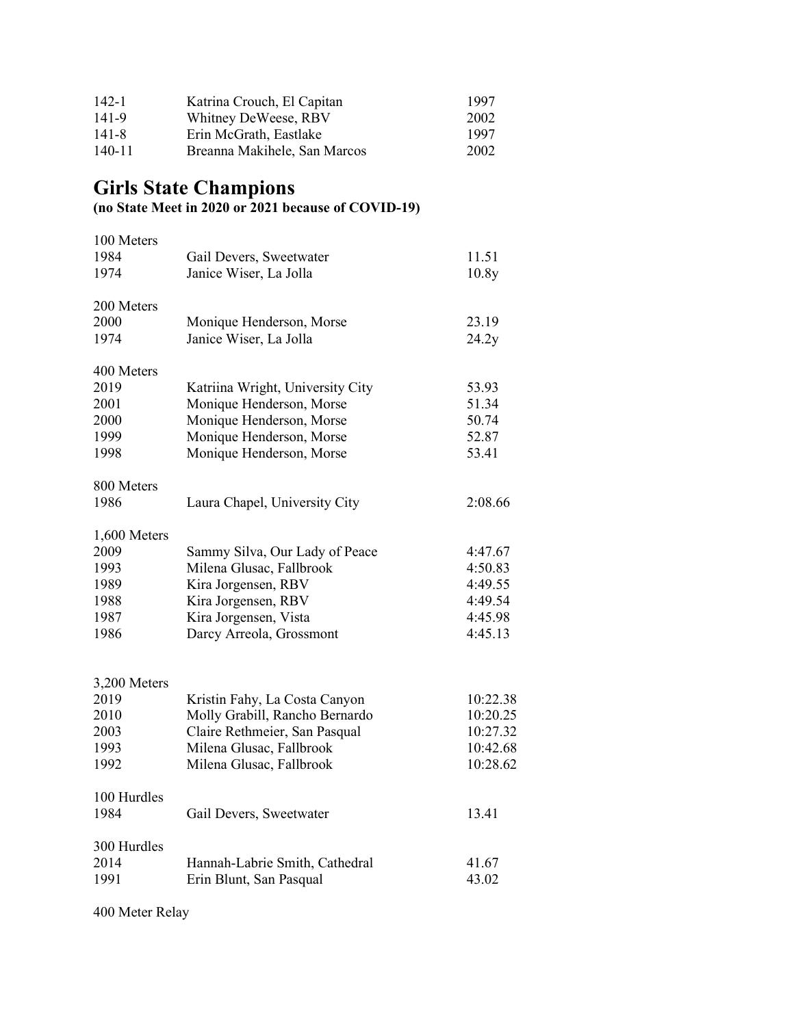| 142-1  | Katrina Crouch, El Capitan   | 1997 |
|--------|------------------------------|------|
| 141-9  | Whitney DeWeese, RBV         | 2002 |
| 141-8  | Erin McGrath, Eastlake       | 1997 |
| 140-11 | Breanna Makihele, San Marcos | 2002 |

### **Girls State Champions**

#### **(no State Meet in 2020 or 2021 because of COVID-19)**

| 100 Meters           |                                                                 |                      |
|----------------------|-----------------------------------------------------------------|----------------------|
| 1984                 | Gail Devers, Sweetwater                                         | 11.51                |
| 1974                 | Janice Wiser, La Jolla                                          | 10.8y                |
| 200 Meters           |                                                                 |                      |
| 2000                 | Monique Henderson, Morse                                        | 23.19                |
| 1974                 | Janice Wiser, La Jolla                                          | 24.2y                |
| 400 Meters           |                                                                 |                      |
| 2019                 | Katriina Wright, University City                                | 53.93                |
| 2001                 | Monique Henderson, Morse                                        | 51.34                |
| 2000                 | Monique Henderson, Morse                                        | 50.74                |
| 1999                 | Monique Henderson, Morse                                        | 52.87                |
| 1998                 | Monique Henderson, Morse                                        | 53.41                |
| 800 Meters           |                                                                 |                      |
| 1986                 | Laura Chapel, University City                                   | 2:08.66              |
| 1,600 Meters         |                                                                 |                      |
| 2009                 | Sammy Silva, Our Lady of Peace                                  | 4:47.67              |
| 1993                 | Milena Glusac, Fallbrook                                        | 4:50.83              |
| 1989                 | Kira Jorgensen, RBV                                             | 4:49.55              |
| 1988                 | Kira Jorgensen, RBV                                             | 4:49.54              |
| 1987                 | Kira Jorgensen, Vista                                           | 4:45.98              |
| 1986                 | Darcy Arreola, Grossmont                                        | 4:45.13              |
|                      |                                                                 |                      |
| 3,200 Meters<br>2019 |                                                                 |                      |
| 2010                 | Kristin Fahy, La Costa Canyon<br>Molly Grabill, Rancho Bernardo | 10:22.38<br>10:20.25 |
| 2003                 | Claire Rethmeier, San Pasqual                                   | 10:27.32             |
| 1993                 | Milena Glusac, Fallbrook                                        | 10:42.68             |
| 1992                 | Milena Glusac, Fallbrook                                        | 10:28.62             |
|                      |                                                                 |                      |
| 100 Hurdles          |                                                                 |                      |
| 1984                 | Gail Devers, Sweetwater                                         | 13.41                |
| 300 Hurdles          |                                                                 |                      |
| 2014                 | Hannah-Labrie Smith, Cathedral                                  | 41.67                |
| 1991                 | Erin Blunt, San Pasqual                                         | 43.02                |
|                      |                                                                 |                      |

400 Meter Relay